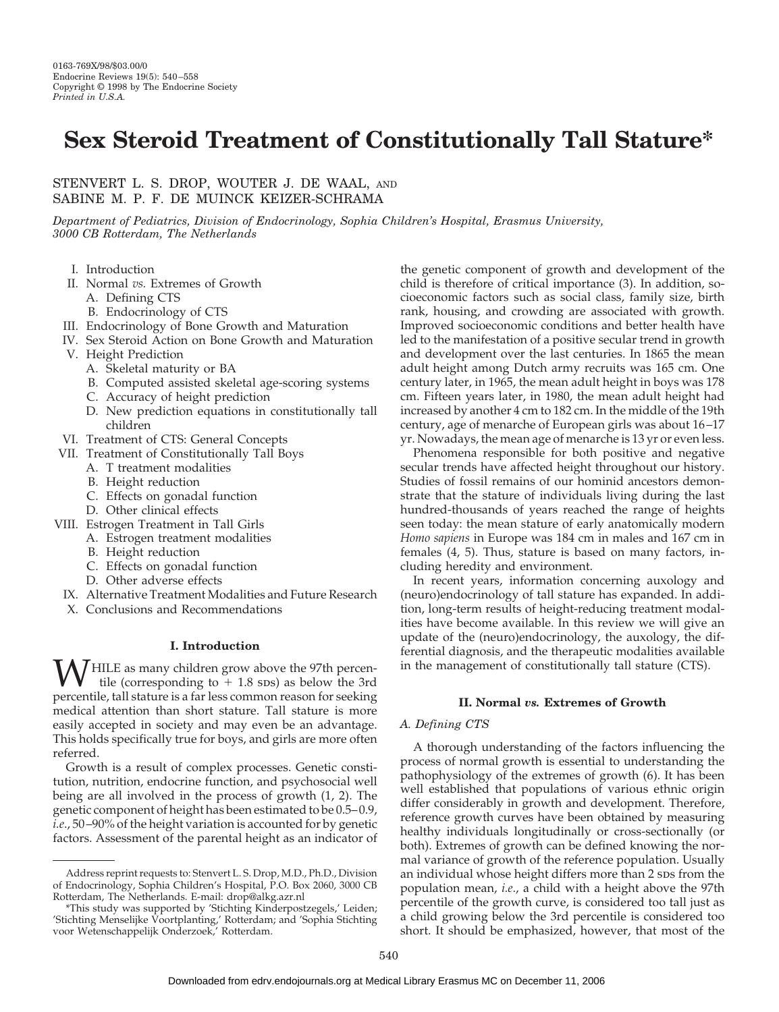# **Sex Steroid Treatment of Constitutionally Tall Stature\***

## STENVERT L. S. DROP, WOUTER J. DE WAAL, AND SABINE M. P. F. DE MUINCK KEIZER-SCHRAMA

*Department of Pediatrics, Division of Endocrinology, Sophia Children's Hospital, Erasmus University, 3000 CB Rotterdam, The Netherlands*

- I. Introduction
- II. Normal *vs.* Extremes of Growth
	- A. Defining CTS
	- B. Endocrinology of CTS
- III. Endocrinology of Bone Growth and Maturation
- IV. Sex Steroid Action on Bone Growth and Maturation
- V. Height Prediction
	- A. Skeletal maturity or BA
	- B. Computed assisted skeletal age-scoring systems
	- C. Accuracy of height prediction
	- D. New prediction equations in constitutionally tall children
- VI. Treatment of CTS: General Concepts
- VII. Treatment of Constitutionally Tall Boys
	- A. T treatment modalities
	- B. Height reduction
	- C. Effects on gonadal function
	- D. Other clinical effects
- VIII. Estrogen Treatment in Tall Girls
- A. Estrogen treatment modalities
	- B. Height reduction
	- C. Effects on gonadal function
	- D. Other adverse effects
- IX. Alternative Treatment Modalities and Future Research
- X. Conclusions and Recommendations

## **I. Introduction**

 $\mathbf{W}$ HILE as many children grow above the 97th percentile (corresponding to  $+1.8$  sps) as below the 3rd percentile tall etative is a far less common reason for socking percentile, tall stature is a far less common reason for seeking medical attention than short stature. Tall stature is more easily accepted in society and may even be an advantage. This holds specifically true for boys, and girls are more often referred.

Growth is a result of complex processes. Genetic constitution, nutrition, endocrine function, and psychosocial well being are all involved in the process of growth (1, 2). The genetic component of height has been estimated to be 0.5–0.9, *i.e*., 50–90% of the height variation is accounted for by genetic factors. Assessment of the parental height as an indicator of

the genetic component of growth and development of the child is therefore of critical importance (3). In addition, socioeconomic factors such as social class, family size, birth rank, housing, and crowding are associated with growth. Improved socioeconomic conditions and better health have led to the manifestation of a positive secular trend in growth and development over the last centuries. In 1865 the mean adult height among Dutch army recruits was 165 cm. One century later, in 1965, the mean adult height in boys was 178 cm. Fifteen years later, in 1980, the mean adult height had increased by another 4 cm to 182 cm. In the middle of the 19th century, age of menarche of European girls was about 16–17 yr. Nowadays, the mean age of menarche is 13 yr or even less.

Phenomena responsible for both positive and negative secular trends have affected height throughout our history. Studies of fossil remains of our hominid ancestors demonstrate that the stature of individuals living during the last hundred-thousands of years reached the range of heights seen today: the mean stature of early anatomically modern *Homo sapiens* in Europe was 184 cm in males and 167 cm in females (4, 5). Thus, stature is based on many factors, including heredity and environment.

In recent years, information concerning auxology and (neuro)endocrinology of tall stature has expanded. In addition, long-term results of height-reducing treatment modalities have become available. In this review we will give an update of the (neuro)endocrinology, the auxology, the differential diagnosis, and the therapeutic modalities available in the management of constitutionally tall stature (CTS).

## **II. Normal** *vs.* **Extremes of Growth**

#### *A. Defining CTS*

A thorough understanding of the factors influencing the process of normal growth is essential to understanding the pathophysiology of the extremes of growth (6). It has been well established that populations of various ethnic origin differ considerably in growth and development. Therefore, reference growth curves have been obtained by measuring healthy individuals longitudinally or cross-sectionally (or both). Extremes of growth can be defined knowing the normal variance of growth of the reference population. Usually an individual whose height differs more than 2 sps from the population mean, *i.e*., a child with a height above the 97th percentile of the growth curve, is considered too tall just as a child growing below the 3rd percentile is considered too short. It should be emphasized, however, that most of the

Address reprint requests to: Stenvert L. S. Drop, M.D., Ph.D., Division of Endocrinology, Sophia Children's Hospital, P.O. Box 2060, 3000 CB Rotterdam, The Netherlands. E-mail: drop@alkg.azr.nl

<sup>\*</sup>This study was supported by 'Stichting Kinderpostzegels,' Leiden; 'Stichting Menselijke Voortplanting,' Rotterdam; and 'Sophia Stichting voor Wetenschappelijk Onderzoek,' Rotterdam.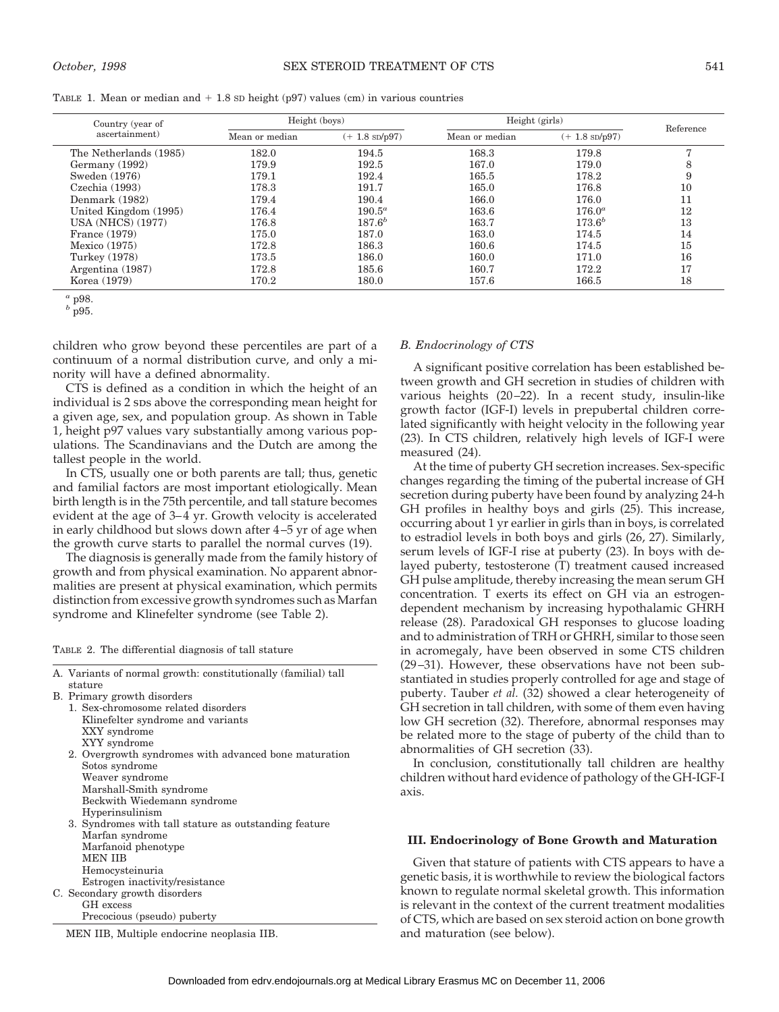| TABLE 1. Mean or median and $+$ 1.8 sp height (p97) values (cm) in various countries |
|--------------------------------------------------------------------------------------|
|--------------------------------------------------------------------------------------|

| Country (year of         | Height (boys)  |                          | Height (girls) | Reference                |                |
|--------------------------|----------------|--------------------------|----------------|--------------------------|----------------|
| ascertainment)           | Mean or median | $(+ 1.8 \text{ SD/p97})$ | Mean or median | $(+ 1.8 \text{ SD}/p97)$ |                |
| The Netherlands (1985)   | 182.0          | 194.5                    | 168.3          | 179.8                    | $\overline{ }$ |
| Germany (1992)           | 179.9          | 192.5                    | 167.0          | 179.0                    | 8              |
| Sweden (1976)            | 179.1          | 192.4                    | 165.5          | 178.2                    | 9              |
| Czechia (1993)           | 178.3          | 191.7                    | 165.0          | 176.8                    | 10             |
| Denmark (1982)           | 179.4          | 190.4                    | 166.0          | 176.0                    | 11             |
| United Kingdom (1995)    | 176.4          | $190.5^a$                | 163.6          | $176.0^a$                | 12             |
| <b>USA (NHCS) (1977)</b> | 176.8          | $187.6^{b}$              | 163.7          | $173.6^{b}$              | 13             |
| France (1979)            | 175.0          | 187.0                    | 163.0          | 174.5                    | 14             |
| Mexico $(1975)$          | 172.8          | 186.3                    | 160.6          | 174.5                    | 15             |
| Turkey (1978)            | 173.5          | 186.0                    | 160.0          | 171.0                    | 16             |
| Argentina (1987)         | 172.8          | 185.6                    | 160.7          | 172.2                    | 17             |
| Korea (1979)             | 170.2          | 180.0                    | 157.6          | 166.5                    | 18             |

 $\frac{a}{b}$  p98.

children who grow beyond these percentiles are part of a continuum of a normal distribution curve, and only a minority will have a defined abnormality.

CTS is defined as a condition in which the height of an individual is 2 sps above the corresponding mean height for a given age, sex, and population group. As shown in Table 1, height p97 values vary substantially among various populations. The Scandinavians and the Dutch are among the tallest people in the world.

In CTS, usually one or both parents are tall; thus, genetic and familial factors are most important etiologically. Mean birth length is in the 75th percentile, and tall stature becomes evident at the age of 3–4 yr. Growth velocity is accelerated in early childhood but slows down after 4–5 yr of age when the growth curve starts to parallel the normal curves (19).

The diagnosis is generally made from the family history of growth and from physical examination. No apparent abnormalities are present at physical examination, which permits distinction from excessive growth syndromes such as Marfan syndrome and Klinefelter syndrome (see Table 2).

TABLE 2. The differential diagnosis of tall stature

A. Variants of normal growth: constitutionally (familial) tall stature

- 1. Sex-chromosome related disorders Klinefelter syndrome and variants XXY syndrome XYY syndrome 2. Overgrowth syndromes with advanced bone maturation Sotos syndrome Weaver syndrome Marshall-Smith syndrome Beckwith Wiedemann syndrome Hyperinsulinism 3. Syndromes with tall stature as outstanding feature Marfan syndrome Marfanoid phenotype MEN IIB
	- Hemocysteinuria
	- Estrogen inactivity/resistance

C. Secondary growth disorders GH excess

Precocious (pseudo) puberty

MEN IIB, Multiple endocrine neoplasia IIB.

## *B. Endocrinology of CTS*

A significant positive correlation has been established between growth and GH secretion in studies of children with various heights (20–22). In a recent study, insulin-like growth factor (IGF-I) levels in prepubertal children correlated significantly with height velocity in the following year (23). In CTS children, relatively high levels of IGF-I were measured (24).

At the time of puberty GH secretion increases. Sex-specific changes regarding the timing of the pubertal increase of GH secretion during puberty have been found by analyzing 24-h GH profiles in healthy boys and girls (25). This increase, occurring about 1 yr earlier in girls than in boys, is correlated to estradiol levels in both boys and girls (26, 27). Similarly, serum levels of IGF-I rise at puberty (23). In boys with delayed puberty, testosterone (T) treatment caused increased GH pulse amplitude, thereby increasing the mean serum GH concentration. T exerts its effect on GH via an estrogendependent mechanism by increasing hypothalamic GHRH release (28). Paradoxical GH responses to glucose loading and to administration of TRH or GHRH, similar to those seen in acromegaly, have been observed in some CTS children (29–31). However, these observations have not been substantiated in studies properly controlled for age and stage of puberty. Tauber *et al.* (32) showed a clear heterogeneity of GH secretion in tall children, with some of them even having low GH secretion (32). Therefore, abnormal responses may be related more to the stage of puberty of the child than to abnormalities of GH secretion (33).

In conclusion, constitutionally tall children are healthy children without hard evidence of pathology of the GH-IGF-I axis.

#### **III. Endocrinology of Bone Growth and Maturation**

Given that stature of patients with CTS appears to have a genetic basis, it is worthwhile to review the biological factors known to regulate normal skeletal growth. This information is relevant in the context of the current treatment modalities of CTS, which are based on sex steroid action on bone growth and maturation (see below).

*<sup>b</sup>* p95.

B. Primary growth disorders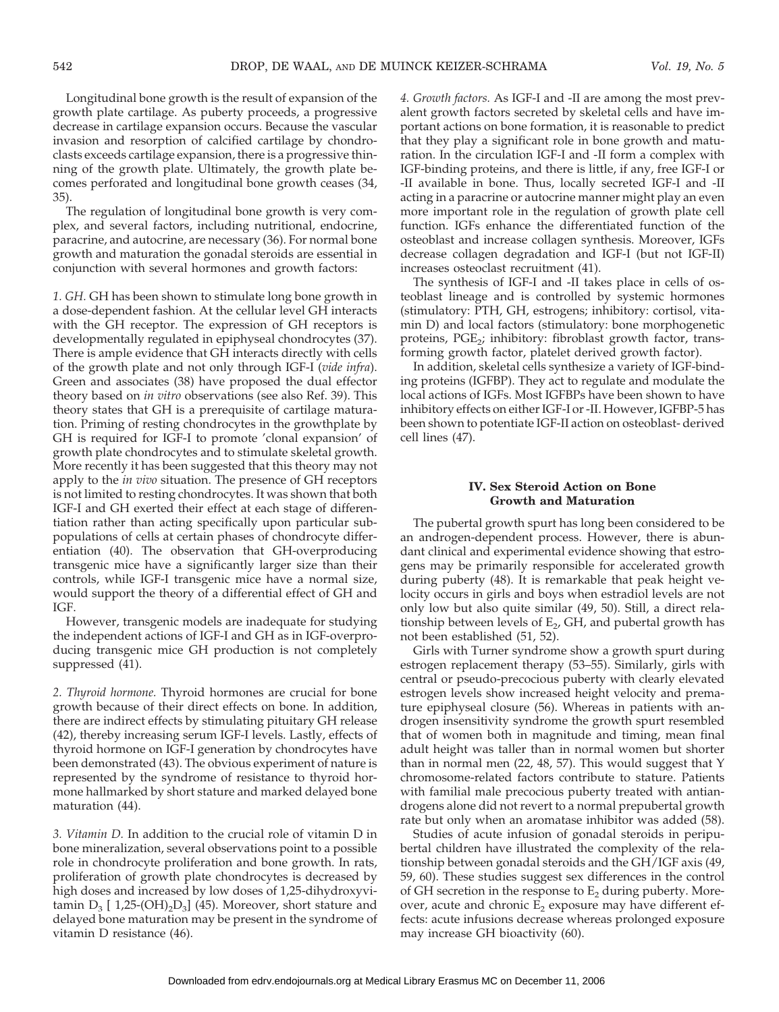Longitudinal bone growth is the result of expansion of the growth plate cartilage. As puberty proceeds, a progressive decrease in cartilage expansion occurs. Because the vascular invasion and resorption of calcified cartilage by chondroclasts exceeds cartilage expansion, there is a progressive thinning of the growth plate. Ultimately, the growth plate becomes perforated and longitudinal bone growth ceases (34, 35).

The regulation of longitudinal bone growth is very complex, and several factors, including nutritional, endocrine, paracrine, and autocrine, are necessary (36). For normal bone growth and maturation the gonadal steroids are essential in conjunction with several hormones and growth factors:

*1. GH.* GH has been shown to stimulate long bone growth in a dose-dependent fashion. At the cellular level GH interacts with the GH receptor. The expression of GH receptors is developmentally regulated in epiphyseal chondrocytes (37). There is ample evidence that GH interacts directly with cells of the growth plate and not only through IGF-I (*vide infra*). Green and associates (38) have proposed the dual effector theory based on *in vitro* observations (see also Ref. 39). This theory states that GH is a prerequisite of cartilage maturation. Priming of resting chondrocytes in the growthplate by GH is required for IGF-I to promote 'clonal expansion' of growth plate chondrocytes and to stimulate skeletal growth. More recently it has been suggested that this theory may not apply to the *in vivo* situation. The presence of GH receptors is not limited to resting chondrocytes. It was shown that both IGF-I and GH exerted their effect at each stage of differentiation rather than acting specifically upon particular subpopulations of cells at certain phases of chondrocyte differentiation (40). The observation that GH-overproducing transgenic mice have a significantly larger size than their controls, while IGF-I transgenic mice have a normal size, would support the theory of a differential effect of GH and IGF.

However, transgenic models are inadequate for studying the independent actions of IGF-I and GH as in IGF-overproducing transgenic mice GH production is not completely suppressed (41).

*2. Thyroid hormone.* Thyroid hormones are crucial for bone growth because of their direct effects on bone. In addition, there are indirect effects by stimulating pituitary GH release (42), thereby increasing serum IGF-I levels. Lastly, effects of thyroid hormone on IGF-I generation by chondrocytes have been demonstrated (43). The obvious experiment of nature is represented by the syndrome of resistance to thyroid hormone hallmarked by short stature and marked delayed bone maturation (44).

*3. Vitamin D.* In addition to the crucial role of vitamin D in bone mineralization, several observations point to a possible role in chondrocyte proliferation and bone growth. In rats, proliferation of growth plate chondrocytes is decreased by high doses and increased by low doses of 1,25-dihydroxyvitamin  $D_3$  [ 1,25-(OH)<sub>2</sub>D<sub>3</sub>] (45). Moreover, short stature and delayed bone maturation may be present in the syndrome of vitamin D resistance (46).

*4. Growth factors.* As IGF-I and -II are among the most prevalent growth factors secreted by skeletal cells and have important actions on bone formation, it is reasonable to predict that they play a significant role in bone growth and maturation. In the circulation IGF-I and -II form a complex with IGF-binding proteins, and there is little, if any, free IGF-I or -II available in bone. Thus, locally secreted IGF-I and -II acting in a paracrine or autocrine manner might play an even more important role in the regulation of growth plate cell function. IGFs enhance the differentiated function of the osteoblast and increase collagen synthesis. Moreover, IGFs decrease collagen degradation and IGF-I (but not IGF-II) increases osteoclast recruitment (41).

The synthesis of IGF-I and -II takes place in cells of osteoblast lineage and is controlled by systemic hormones (stimulatory: PTH, GH, estrogens; inhibitory: cortisol, vitamin D) and local factors (stimulatory: bone morphogenetic proteins,  $PGE_2$ ; inhibitory: fibroblast growth factor, transforming growth factor, platelet derived growth factor).

In addition, skeletal cells synthesize a variety of IGF-binding proteins (IGFBP). They act to regulate and modulate the local actions of IGFs. Most IGFBPs have been shown to have inhibitory effects on either IGF-I or -II. However, IGFBP-5 has been shown to potentiate IGF-II action on osteoblast- derived cell lines (47).

## **IV. Sex Steroid Action on Bone Growth and Maturation**

The pubertal growth spurt has long been considered to be an androgen-dependent process. However, there is abundant clinical and experimental evidence showing that estrogens may be primarily responsible for accelerated growth during puberty (48). It is remarkable that peak height velocity occurs in girls and boys when estradiol levels are not only low but also quite similar (49, 50). Still, a direct relationship between levels of  $E_2$ , GH, and pubertal growth has not been established (51, 52).

Girls with Turner syndrome show a growth spurt during estrogen replacement therapy (53–55). Similarly, girls with central or pseudo-precocious puberty with clearly elevated estrogen levels show increased height velocity and premature epiphyseal closure (56). Whereas in patients with androgen insensitivity syndrome the growth spurt resembled that of women both in magnitude and timing, mean final adult height was taller than in normal women but shorter than in normal men (22, 48, 57). This would suggest that Y chromosome-related factors contribute to stature. Patients with familial male precocious puberty treated with antiandrogens alone did not revert to a normal prepubertal growth rate but only when an aromatase inhibitor was added (58).

Studies of acute infusion of gonadal steroids in peripubertal children have illustrated the complexity of the relationship between gonadal steroids and the GH/IGF axis (49, 59, 60). These studies suggest sex differences in the control of GH secretion in the response to  $E_2$  during puberty. Moreover, acute and chronic  $E_2$  exposure may have different effects: acute infusions decrease whereas prolonged exposure may increase GH bioactivity (60).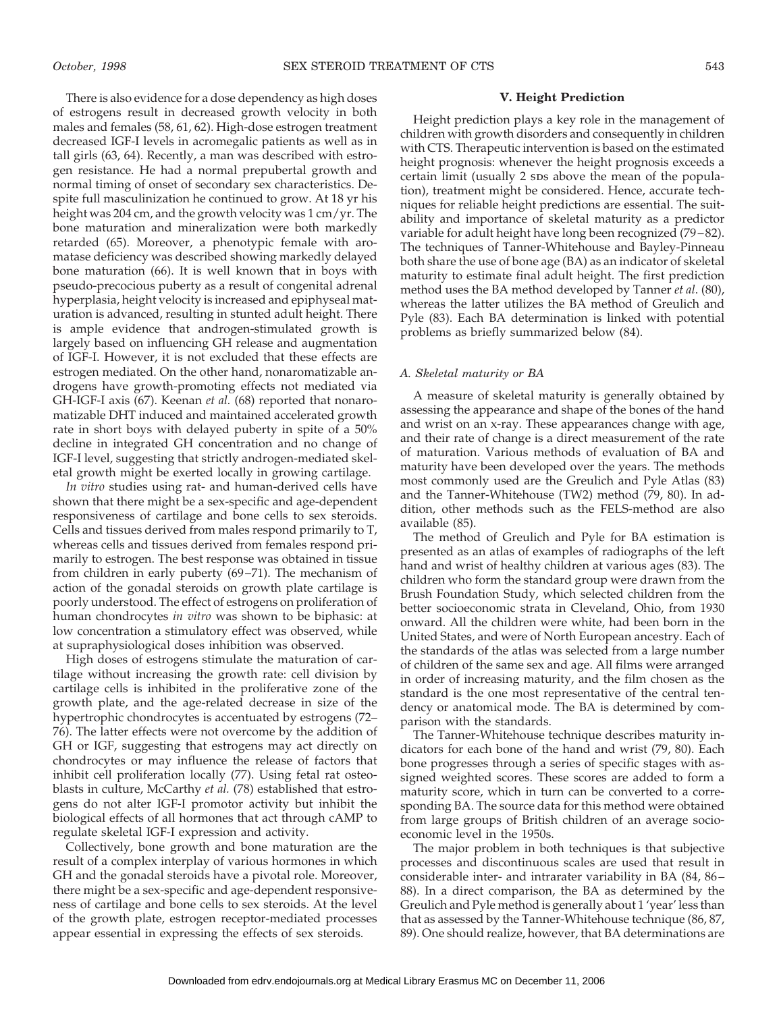There is also evidence for a dose dependency as high doses of estrogens result in decreased growth velocity in both males and females (58, 61, 62). High-dose estrogen treatment decreased IGF-I levels in acromegalic patients as well as in tall girls (63, 64). Recently, a man was described with estrogen resistance. He had a normal prepubertal growth and normal timing of onset of secondary sex characteristics. Despite full masculinization he continued to grow. At 18 yr his height was 204 cm, and the growth velocity was 1 cm/yr. The bone maturation and mineralization were both markedly retarded (65). Moreover, a phenotypic female with aromatase deficiency was described showing markedly delayed bone maturation (66). It is well known that in boys with pseudo-precocious puberty as a result of congenital adrenal hyperplasia, height velocity is increased and epiphyseal maturation is advanced, resulting in stunted adult height. There is ample evidence that androgen-stimulated growth is largely based on influencing GH release and augmentation of IGF-I. However, it is not excluded that these effects are estrogen mediated. On the other hand, nonaromatizable androgens have growth-promoting effects not mediated via GH-IGF-I axis (67). Keenan *et al.* (68) reported that nonaromatizable DHT induced and maintained accelerated growth rate in short boys with delayed puberty in spite of a 50% decline in integrated GH concentration and no change of IGF-I level, suggesting that strictly androgen-mediated skeletal growth might be exerted locally in growing cartilage.

*In vitro* studies using rat- and human-derived cells have shown that there might be a sex-specific and age-dependent responsiveness of cartilage and bone cells to sex steroids. Cells and tissues derived from males respond primarily to T, whereas cells and tissues derived from females respond primarily to estrogen. The best response was obtained in tissue from children in early puberty (69–71). The mechanism of action of the gonadal steroids on growth plate cartilage is poorly understood. The effect of estrogens on proliferation of human chondrocytes *in vitro* was shown to be biphasic: at low concentration a stimulatory effect was observed, while at supraphysiological doses inhibition was observed.

High doses of estrogens stimulate the maturation of cartilage without increasing the growth rate: cell division by cartilage cells is inhibited in the proliferative zone of the growth plate, and the age-related decrease in size of the hypertrophic chondrocytes is accentuated by estrogens (72– 76). The latter effects were not overcome by the addition of GH or IGF, suggesting that estrogens may act directly on chondrocytes or may influence the release of factors that inhibit cell proliferation locally (77). Using fetal rat osteoblasts in culture, McCarthy *et al.* (78) established that estrogens do not alter IGF-I promotor activity but inhibit the biological effects of all hormones that act through cAMP to regulate skeletal IGF-I expression and activity.

Collectively, bone growth and bone maturation are the result of a complex interplay of various hormones in which GH and the gonadal steroids have a pivotal role. Moreover, there might be a sex-specific and age-dependent responsiveness of cartilage and bone cells to sex steroids. At the level of the growth plate, estrogen receptor-mediated processes appear essential in expressing the effects of sex steroids.

### **V. Height Prediction**

Height prediction plays a key role in the management of children with growth disorders and consequently in children with CTS. Therapeutic intervention is based on the estimated height prognosis: whenever the height prognosis exceeds a certain limit (usually 2 sps above the mean of the population), treatment might be considered. Hence, accurate techniques for reliable height predictions are essential. The suitability and importance of skeletal maturity as a predictor variable for adult height have long been recognized (79–82). The techniques of Tanner-Whitehouse and Bayley-Pinneau both share the use of bone age (BA) as an indicator of skeletal maturity to estimate final adult height. The first prediction method uses the BA method developed by Tanner *et al*. (80), whereas the latter utilizes the BA method of Greulich and Pyle (83). Each BA determination is linked with potential problems as briefly summarized below (84).

#### *A. Skeletal maturity or BA*

A measure of skeletal maturity is generally obtained by assessing the appearance and shape of the bones of the hand and wrist on an x-ray. These appearances change with age, and their rate of change is a direct measurement of the rate of maturation. Various methods of evaluation of BA and maturity have been developed over the years. The methods most commonly used are the Greulich and Pyle Atlas (83) and the Tanner-Whitehouse (TW2) method (79, 80). In addition, other methods such as the FELS-method are also available (85).

The method of Greulich and Pyle for BA estimation is presented as an atlas of examples of radiographs of the left hand and wrist of healthy children at various ages (83). The children who form the standard group were drawn from the Brush Foundation Study, which selected children from the better socioeconomic strata in Cleveland, Ohio, from 1930 onward. All the children were white, had been born in the United States, and were of North European ancestry. Each of the standards of the atlas was selected from a large number of children of the same sex and age. All films were arranged in order of increasing maturity, and the film chosen as the standard is the one most representative of the central tendency or anatomical mode. The BA is determined by comparison with the standards.

The Tanner-Whitehouse technique describes maturity indicators for each bone of the hand and wrist (79, 80). Each bone progresses through a series of specific stages with assigned weighted scores. These scores are added to form a maturity score, which in turn can be converted to a corresponding BA. The source data for this method were obtained from large groups of British children of an average socioeconomic level in the 1950s.

The major problem in both techniques is that subjective processes and discontinuous scales are used that result in considerable inter- and intrarater variability in BA (84, 86– 88). In a direct comparison, the BA as determined by the Greulich and Pyle method is generally about 1 'year' less than that as assessed by the Tanner-Whitehouse technique (86, 87, 89). One should realize, however, that BA determinations are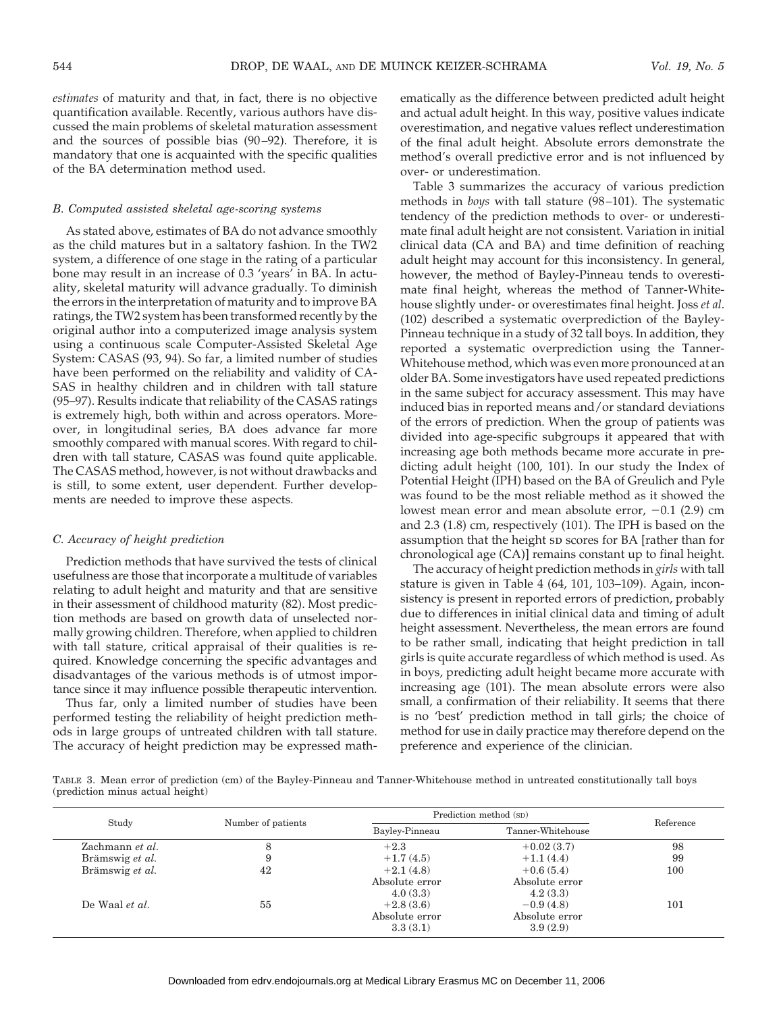*estimates* of maturity and that, in fact, there is no objective quantification available. Recently, various authors have discussed the main problems of skeletal maturation assessment and the sources of possible bias (90–92). Therefore, it is mandatory that one is acquainted with the specific qualities of the BA determination method used.

#### *B. Computed assisted skeletal age-scoring systems*

As stated above, estimates of BA do not advance smoothly as the child matures but in a saltatory fashion. In the TW2 system, a difference of one stage in the rating of a particular bone may result in an increase of 0.3 'years' in BA. In actuality, skeletal maturity will advance gradually. To diminish the errors in the interpretation of maturity and to improve BA ratings, the TW2 system has been transformed recently by the original author into a computerized image analysis system using a continuous scale Computer-Assisted Skeletal Age System: CASAS (93, 94). So far, a limited number of studies have been performed on the reliability and validity of CA-SAS in healthy children and in children with tall stature (95–97). Results indicate that reliability of the CASAS ratings is extremely high, both within and across operators. Moreover, in longitudinal series, BA does advance far more smoothly compared with manual scores. With regard to children with tall stature, CASAS was found quite applicable. The CASAS method, however, is not without drawbacks and is still, to some extent, user dependent. Further developments are needed to improve these aspects.

#### *C. Accuracy of height prediction*

Prediction methods that have survived the tests of clinical usefulness are those that incorporate a multitude of variables relating to adult height and maturity and that are sensitive in their assessment of childhood maturity (82). Most prediction methods are based on growth data of unselected normally growing children. Therefore, when applied to children with tall stature, critical appraisal of their qualities is required. Knowledge concerning the specific advantages and disadvantages of the various methods is of utmost importance since it may influence possible therapeutic intervention.

Thus far, only a limited number of studies have been performed testing the reliability of height prediction methods in large groups of untreated children with tall stature. The accuracy of height prediction may be expressed mathematically as the difference between predicted adult height and actual adult height. In this way, positive values indicate overestimation, and negative values reflect underestimation of the final adult height. Absolute errors demonstrate the method's overall predictive error and is not influenced by over- or underestimation.

Table 3 summarizes the accuracy of various prediction methods in *boys* with tall stature (98–101). The systematic tendency of the prediction methods to over- or underestimate final adult height are not consistent. Variation in initial clinical data (CA and BA) and time definition of reaching adult height may account for this inconsistency. In general, however, the method of Bayley-Pinneau tends to overestimate final height, whereas the method of Tanner-Whitehouse slightly under- or overestimates final height. Joss *et al*. (102) described a systematic overprediction of the Bayley-Pinneau technique in a study of 32 tall boys. In addition, they reported a systematic overprediction using the Tanner-Whitehouse method, which was even more pronounced at an older BA. Some investigators have used repeated predictions in the same subject for accuracy assessment. This may have induced bias in reported means and/or standard deviations of the errors of prediction. When the group of patients was divided into age-specific subgroups it appeared that with increasing age both methods became more accurate in predicting adult height (100, 101). In our study the Index of Potential Height (IPH) based on the BA of Greulich and Pyle was found to be the most reliable method as it showed the lowest mean error and mean absolute error,  $-0.1$  (2.9) cm and 2.3 (1.8) cm, respectively (101). The IPH is based on the assumption that the height sp scores for BA [rather than for chronological age (CA)] remains constant up to final height.

The accuracy of height prediction methods in *girls* with tall stature is given in Table 4 (64, 101, 103–109). Again, inconsistency is present in reported errors of prediction, probably due to differences in initial clinical data and timing of adult height assessment. Nevertheless, the mean errors are found to be rather small, indicating that height prediction in tall girls is quite accurate regardless of which method is used. As in boys, predicting adult height became more accurate with increasing age (101). The mean absolute errors were also small, a confirmation of their reliability. It seems that there is no 'best' prediction method in tall girls; the choice of method for use in daily practice may therefore depend on the preference and experience of the clinician.

TABLE 3. Mean error of prediction (cm) of the Bayley-Pinneau and Tanner-Whitehouse method in untreated constitutionally tall boys (prediction minus actual height)

|                 |                    | Prediction method (SD) | Reference         |     |
|-----------------|--------------------|------------------------|-------------------|-----|
| Study           | Number of patients | Bayley-Pinneau         | Tanner-Whitehouse |     |
| Zachmann et al. |                    | $+2.3$                 | $+0.02(3.7)$      | 98  |
| Brämswig et al. |                    | $+1.7(4.5)$            | $+1.1(4.4)$       | 99  |
| Brämswig et al. | 42                 | $+2.1(4.8)$            | $+0.6(5.4)$       | 100 |
|                 |                    | Absolute error         | Absolute error    |     |
|                 |                    | 4.0(3.3)               | 4.2(3.3)          |     |
| De Waal et al.  | 55                 | $+2.8(3.6)$            | $-0.9(4.8)$       | 101 |
|                 |                    | Absolute error         | Absolute error    |     |
|                 |                    | 3.3(3.1)               | 3.9(2.9)          |     |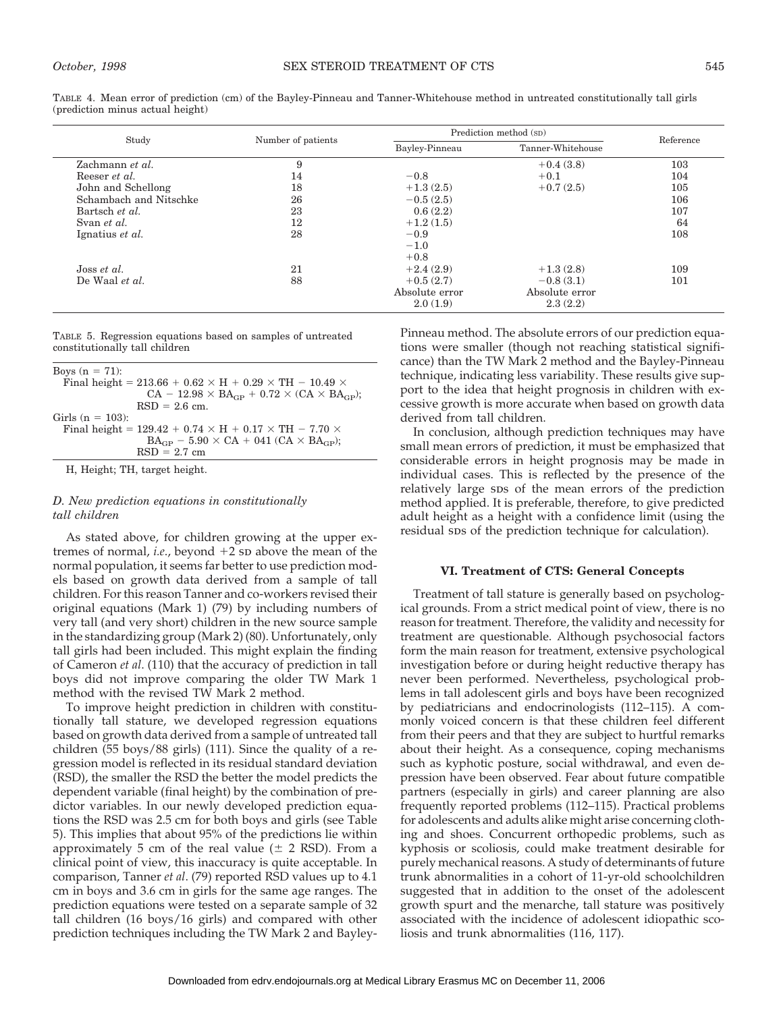|                                  |  | TABLE 4. Mean error of prediction (cm) of the Bayley-Pinneau and Tanner-Whitehouse method in untreated constitutionally tall girls |
|----------------------------------|--|------------------------------------------------------------------------------------------------------------------------------------|
| (prediction minus actual height) |  |                                                                                                                                    |

| Study                  | Number of patients | Prediction method (SD) | Reference         |     |
|------------------------|--------------------|------------------------|-------------------|-----|
|                        |                    | Bayley-Pinneau         | Tanner-Whitehouse |     |
| Zachmann et al.        | 9                  |                        | $+0.4(3.8)$       | 103 |
| Reeser <i>et al.</i>   | 14                 | $-0.8$                 | $+0.1$            | 104 |
| John and Schellong     | 18                 | $+1.3(2.5)$            | $+0.7(2.5)$       | 105 |
| Schambach and Nitschke | 26                 | $-0.5(2.5)$            |                   | 106 |
| Bartsch et al.         | 23                 | 0.6(2.2)               |                   | 107 |
| Svan et al.            | 12                 | $+1.2(1.5)$            |                   | 64  |
| Ignatius et al.        | 28                 | $-0.9$                 |                   | 108 |
|                        |                    | $-1.0$                 |                   |     |
|                        |                    | $+0.8$                 |                   |     |
| Joss <i>et al.</i>     | 21                 | $+2.4(2.9)$            | $+1.3(2.8)$       | 109 |
| De Waal et al.         | 88                 | $+0.5(2.7)$            | $-0.8(3.1)$       | 101 |
|                        |                    | Absolute error         | Absolute error    |     |
|                        |                    | 2.0(1.9)               | 2.3(2.2)          |     |

TABLE 5. Regression equations based on samples of untreated constitutionally tall children

| Boys $(n = 71)$ :                                                       |
|-------------------------------------------------------------------------|
| Final height = 213.66 + $0.62 \times H + 0.29 \times TH - 10.49 \times$ |
| $CA - 12.98 \times BA_{CP} + 0.72 \times (CA \times BA_{CP})$ ;         |
| $RSD = 2.6$ cm.                                                         |
| Girls ( $n = 103$ ):                                                    |
| Final height = $129.42 + 0.74 \times H + 0.17 \times TH - 7.70 \times$  |
| $BA_{CP}$ – 5.90 $\times$ CA + 041 (CA $\times$ BA <sub>GP</sub> );     |
| $RSD = 2.7$ cm                                                          |

H, Height; TH, target height.

## *D. New prediction equations in constitutionally tall children*

As stated above, for children growing at the upper extremes of normal, *i.e.*, beyond  $+2$  sp above the mean of the normal population, it seems far better to use prediction models based on growth data derived from a sample of tall children. For this reason Tanner and co-workers revised their original equations (Mark 1) (79) by including numbers of very tall (and very short) children in the new source sample in the standardizing group (Mark 2) (80). Unfortunately, only tall girls had been included. This might explain the finding of Cameron *et al*. (110) that the accuracy of prediction in tall boys did not improve comparing the older TW Mark 1 method with the revised TW Mark 2 method.

To improve height prediction in children with constitutionally tall stature, we developed regression equations based on growth data derived from a sample of untreated tall children (55 boys/88 girls) (111). Since the quality of a regression model is reflected in its residual standard deviation (RSD), the smaller the RSD the better the model predicts the dependent variable (final height) by the combination of predictor variables. In our newly developed prediction equations the RSD was 2.5 cm for both boys and girls (see Table 5). This implies that about 95% of the predictions lie within approximately 5 cm of the real value  $(\pm 2 \text{ RSD})$ . From a clinical point of view, this inaccuracy is quite acceptable. In comparison, Tanner *et al*. (79) reported RSD values up to 4.1 cm in boys and 3.6 cm in girls for the same age ranges. The prediction equations were tested on a separate sample of 32 tall children (16 boys/16 girls) and compared with other prediction techniques including the TW Mark 2 and BayleyPinneau method. The absolute errors of our prediction equations were smaller (though not reaching statistical significance) than the TW Mark 2 method and the Bayley-Pinneau technique, indicating less variability. These results give support to the idea that height prognosis in children with excessive growth is more accurate when based on growth data derived from tall children.

In conclusion, although prediction techniques may have small mean errors of prediction, it must be emphasized that considerable errors in height prognosis may be made in individual cases. This is reflected by the presence of the relatively large sps of the mean errors of the prediction method applied. It is preferable, therefore, to give predicted adult height as a height with a confidence limit (using the residual sps of the prediction technique for calculation).

#### **VI. Treatment of CTS: General Concepts**

Treatment of tall stature is generally based on psychological grounds. From a strict medical point of view, there is no reason for treatment. Therefore, the validity and necessity for treatment are questionable. Although psychosocial factors form the main reason for treatment, extensive psychological investigation before or during height reductive therapy has never been performed. Nevertheless, psychological problems in tall adolescent girls and boys have been recognized by pediatricians and endocrinologists (112–115). A commonly voiced concern is that these children feel different from their peers and that they are subject to hurtful remarks about their height. As a consequence, coping mechanisms such as kyphotic posture, social withdrawal, and even depression have been observed. Fear about future compatible partners (especially in girls) and career planning are also frequently reported problems (112–115). Practical problems for adolescents and adults alike might arise concerning clothing and shoes. Concurrent orthopedic problems, such as kyphosis or scoliosis, could make treatment desirable for purely mechanical reasons. A study of determinants of future trunk abnormalities in a cohort of 11-yr-old schoolchildren suggested that in addition to the onset of the adolescent growth spurt and the menarche, tall stature was positively associated with the incidence of adolescent idiopathic scoliosis and trunk abnormalities (116, 117).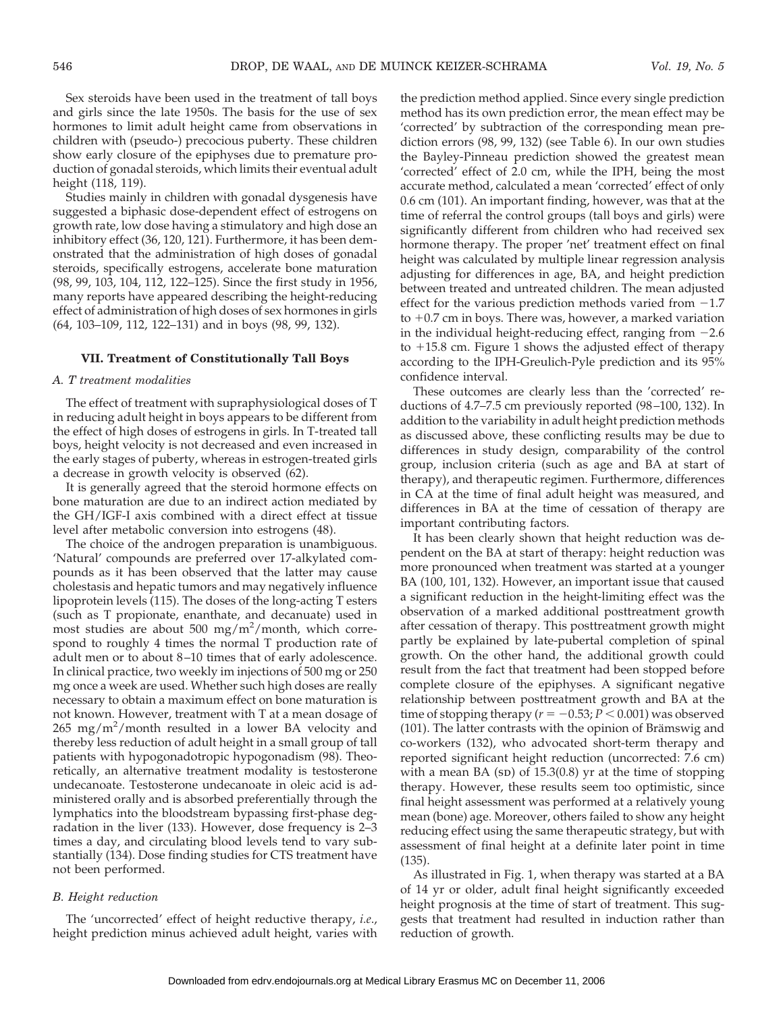Sex steroids have been used in the treatment of tall boys and girls since the late 1950s. The basis for the use of sex hormones to limit adult height came from observations in children with (pseudo-) precocious puberty. These children show early closure of the epiphyses due to premature production of gonadal steroids, which limits their eventual adult height (118, 119).

Studies mainly in children with gonadal dysgenesis have suggested a biphasic dose-dependent effect of estrogens on growth rate, low dose having a stimulatory and high dose an inhibitory effect (36, 120, 121). Furthermore, it has been demonstrated that the administration of high doses of gonadal steroids, specifically estrogens, accelerate bone maturation (98, 99, 103, 104, 112, 122–125). Since the first study in 1956, many reports have appeared describing the height-reducing effect of administration of high doses of sex hormones in girls (64, 103–109, 112, 122–131) and in boys (98, 99, 132).

#### **VII. Treatment of Constitutionally Tall Boys**

#### *A. T treatment modalities*

The effect of treatment with supraphysiological doses of T in reducing adult height in boys appears to be different from the effect of high doses of estrogens in girls. In T-treated tall boys, height velocity is not decreased and even increased in the early stages of puberty, whereas in estrogen-treated girls a decrease in growth velocity is observed (62).

It is generally agreed that the steroid hormone effects on bone maturation are due to an indirect action mediated by the GH/IGF-I axis combined with a direct effect at tissue level after metabolic conversion into estrogens (48).

The choice of the androgen preparation is unambiguous. 'Natural' compounds are preferred over 17-alkylated compounds as it has been observed that the latter may cause cholestasis and hepatic tumors and may negatively influence lipoprotein levels (115). The doses of the long-acting T esters (such as T propionate, enanthate, and decanuate) used in most studies are about 500 mg/m<sup>2</sup>/month, which correspond to roughly 4 times the normal T production rate of adult men or to about 8–10 times that of early adolescence. In clinical practice, two weekly im injections of 500 mg or 250 mg once a week are used. Whether such high doses are really necessary to obtain a maximum effect on bone maturation is not known. However, treatment with T at a mean dosage of  $265 \, \text{mg/m}^2/\text{month}$  resulted in a lower BA velocity and thereby less reduction of adult height in a small group of tall patients with hypogonadotropic hypogonadism (98). Theoretically, an alternative treatment modality is testosterone undecanoate. Testosterone undecanoate in oleic acid is administered orally and is absorbed preferentially through the lymphatics into the bloodstream bypassing first-phase degradation in the liver (133). However, dose frequency is 2–3 times a day, and circulating blood levels tend to vary substantially (134). Dose finding studies for CTS treatment have not been performed.

## *B. Height reduction*

The 'uncorrected' effect of height reductive therapy, *i.e*., height prediction minus achieved adult height, varies with

the prediction method applied. Since every single prediction method has its own prediction error, the mean effect may be 'corrected' by subtraction of the corresponding mean prediction errors (98, 99, 132) (see Table 6). In our own studies the Bayley-Pinneau prediction showed the greatest mean 'corrected' effect of 2.0 cm, while the IPH, being the most accurate method, calculated a mean 'corrected' effect of only 0.6 cm (101). An important finding, however, was that at the time of referral the control groups (tall boys and girls) were significantly different from children who had received sex hormone therapy. The proper 'net' treatment effect on final height was calculated by multiple linear regression analysis adjusting for differences in age, BA, and height prediction between treated and untreated children. The mean adjusted effect for the various prediction methods varied from  $-1.7$ to  $+0.7$  cm in boys. There was, however, a marked variation in the individual height-reducing effect, ranging from  $-2.6$ to  $+15.8$  cm. Figure 1 shows the adjusted effect of therapy according to the IPH-Greulich-Pyle prediction and its 95% confidence interval.

These outcomes are clearly less than the 'corrected' reductions of 4.7–7.5 cm previously reported (98–100, 132). In addition to the variability in adult height prediction methods as discussed above, these conflicting results may be due to differences in study design, comparability of the control group, inclusion criteria (such as age and BA at start of therapy), and therapeutic regimen. Furthermore, differences in CA at the time of final adult height was measured, and differences in BA at the time of cessation of therapy are important contributing factors.

It has been clearly shown that height reduction was dependent on the BA at start of therapy: height reduction was more pronounced when treatment was started at a younger BA (100, 101, 132). However, an important issue that caused a significant reduction in the height-limiting effect was the observation of a marked additional posttreatment growth after cessation of therapy. This posttreatment growth might partly be explained by late-pubertal completion of spinal growth. On the other hand, the additional growth could result from the fact that treatment had been stopped before complete closure of the epiphyses. A significant negative relationship between posttreatment growth and BA at the time of stopping therapy ( $r = -0.53$ ;  $P < 0.001$ ) was observed (101). The latter contrasts with the opinion of Brämswig and co-workers (132), who advocated short-term therapy and reported significant height reduction (uncorrected: 7.6 cm) with a mean BA (sp) of  $15.3(0.8)$  yr at the time of stopping therapy. However, these results seem too optimistic, since final height assessment was performed at a relatively young mean (bone) age. Moreover, others failed to show any height reducing effect using the same therapeutic strategy, but with assessment of final height at a definite later point in time (135).

As illustrated in Fig. 1, when therapy was started at a BA of 14 yr or older, adult final height significantly exceeded height prognosis at the time of start of treatment. This suggests that treatment had resulted in induction rather than reduction of growth.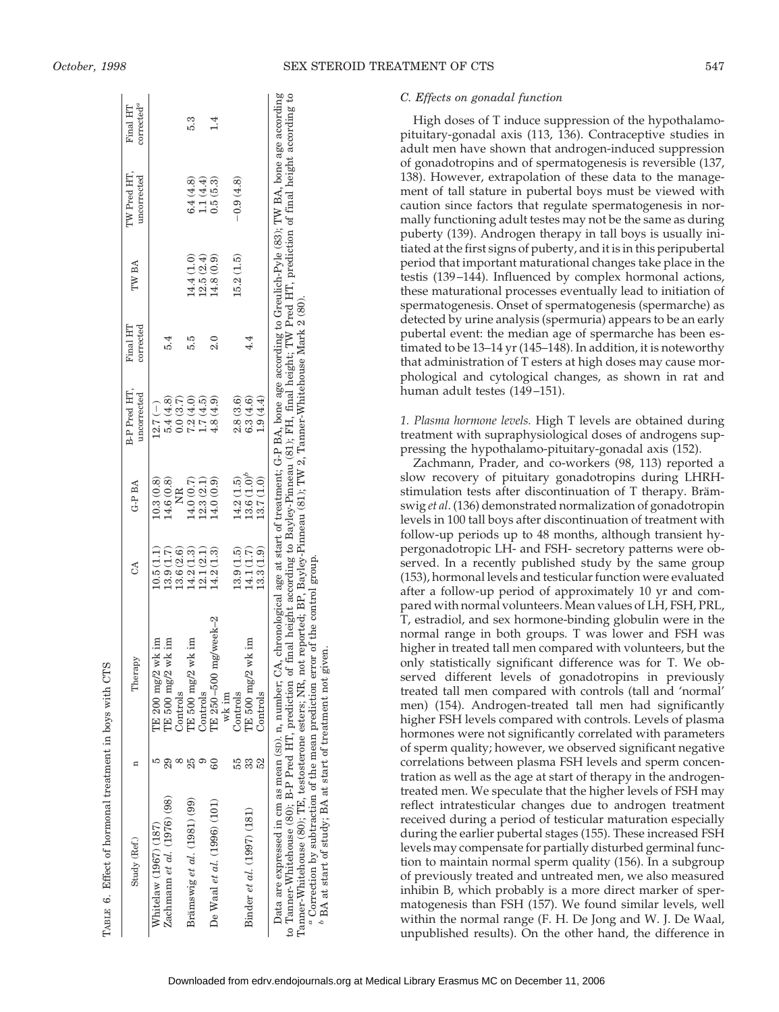| Study (Ref.)                                                                                                                                                               | Therapy                                                                                                                                                                    | $\mathcal{L}^{\mathcal{A}}$ | G-P BA          | B-P Pred HT,<br>uncorrected | Final HT<br>corrected | IW BA      | $TW$ Pred HT,<br>uncorrected | corrected <sup>a</sup><br>Final HT |
|----------------------------------------------------------------------------------------------------------------------------------------------------------------------------|----------------------------------------------------------------------------------------------------------------------------------------------------------------------------|-----------------------------|-----------------|-----------------------------|-----------------------|------------|------------------------------|------------------------------------|
| Whitelaw (1967) (187)                                                                                                                                                      | TE $200 \text{ mg}/2$ wk im                                                                                                                                                | 10.5(1.1)                   | 10.3(0.8)       | $12.7(-)$                   |                       |            |                              |                                    |
| Zachmann <i>et al.</i> (1976) (98)                                                                                                                                         | I'E $500$ mg/2 wk im<br>Controls                                                                                                                                           | 13.6 (2.6)<br>13.9(1.7)     | (4.6(0.8))<br>Ĕ | 5.4(4.8)<br>0.0(3.7)        | 5.4                   |            |                              |                                    |
| Brämswig et al. $(1981)$ $(99)$                                                                                                                                            | IE 500 $mg/2$ wk im                                                                                                                                                        | 14.2(1.3)                   | 14.0 (0.7)      | 7.2(4.0)                    | 5.9                   | 14.4 (1.0) | 6.4(4.8)                     |                                    |
|                                                                                                                                                                            | Controls                                                                                                                                                                   | 12.1(2.1)                   | (2.3(2.1)       | (4.5)                       |                       | 12.5(2.4)  | 1.1(4.4)                     |                                    |
| De Waal <i>et al.</i> $(1996) (101)$                                                                                                                                       | $TE250-500$ mg/week $-2$                                                                                                                                                   | (4.2(1.3)                   | 14.0(0.9)       | 4.8(4.9)                    | $\frac{0}{2}$         | 14.8(0.9)  | 0.5(5.3)                     |                                    |
|                                                                                                                                                                            | wk im                                                                                                                                                                      |                             |                 |                             |                       |            |                              |                                    |
|                                                                                                                                                                            | Controls                                                                                                                                                                   | 13.9(1.5)                   | 14.2(1.5)       | 2.8(3.6)                    |                       | 15.2(1.5)  | $-0.9(4.8)$                  |                                    |
| Binder et al. (1997) (181)                                                                                                                                                 | TE 500 $mg/2$ wk im                                                                                                                                                        | 14.1(1.7)                   | $13.6(1.0)^b$   | 6.3(4.6)                    | 4.4                   |            |                              |                                    |
|                                                                                                                                                                            | Controls                                                                                                                                                                   | 13.3(1.9)                   | 13.7 (1.0)      | 1.9(4.4)                    |                       |            |                              |                                    |
| to Tanner-Whitehouse (80); B-P Pred HT, prediction of final height according to Bayley-Pinneau (81); FH, final height; TW Pred HT, prediction of final height according to | Data are expressed in cm as mean (sp), n, number; CA, chronological age at start of treatment; G-P BA, bone age according to Greulich-Pyle (83); TW BA, bone age according |                             |                 |                             |                       |            |                              |                                    |
| Tanner-Whitehouse (80); TE, testosterone esters; NR, not reported; BP, Bayley-Pinneau (81); TW 2, Tanner-Whitehouse Mark 2 (80).                                           |                                                                                                                                                                            |                             |                 |                             |                       |            |                              |                                    |

Tanner-Whitehouse (80); TE, testosterone esters; NR, not reported; BP, Bayley-Pinneau (81); TW 2, Tanner-Whitehouse Mark 2 (80). *a* Correction by subtraction of the mean prediction error of the control group.

<sup>*a*</sup> Correction by subtraction of the mean prediction error of the control group

BA at start of study; BA at start of treatment not given.

BA at start of study; BA at start of treatment not given.

*October, 1998* SEX STEROID TREATMENT OF CTS 547

## *C. Effects on gonadal function*

High doses of T induce suppression of the hypothalamopituitary-gonadal axis (113, 136). Contraceptive studies in adult men have shown that androgen-induced suppression of gonadotropins and of spermatogenesis is reversible (137, 138). However, extrapolation of these data to the management of tall stature in pubertal boys must be viewed with caution since factors that regulate spermatogenesis in normally functioning adult testes may not be the same as during puberty (139). Androgen therapy in tall boys is usually initiated at the first signs of puberty, and it is in this peripubertal period that important maturational changes take place in the testis (139–144). Influenced by complex hormonal actions, these maturational processes eventually lead to initiation of spermatogenesis. Onset of spermatogenesis (spermarche) as detected by urine analysis (spermuria) appears to be an early pubertal event: the median age of spermarche has been estimated to be 13–14 yr (145–148). In addition, it is noteworthy that administration of T esters at high doses may cause morphological and cytological changes, as shown in rat and human adult testes (149–151).

*1. Plasma hormone levels.* High T levels are obtained during treatment with supraphysiological doses of androgens suppressing the hypothalamo-pituitary-gonadal axis (152).

Zachmann, Prader, and co-workers (98, 113) reported a slow recovery of pituitary gonadotropins during LHRHstimulation tests after discontinuation of T therapy. Brämswig *et al*. (136) demonstrated normalization of gonadotropin levels in 100 tall boys after discontinuation of treatment with follow-up periods up to 48 months, although transient hypergonadotropic LH- and FSH- secretory patterns were observed. In a recently published study by the same group (153), hormonal levels and testicular function were evaluated after a follow-up period of approximately 10 yr and compared with normal volunteers. Mean values of LH, FSH, PRL, T, estradiol, and sex hormone-binding globulin were in the normal range in both groups. T was lower and FSH was higher in treated tall men compared with volunteers, but the only statistically significant difference was for T. We observed different levels of gonadotropins in previously treated tall men compared with controls (tall and 'normal' men) (154). Androgen-treated tall men had significantly higher FSH levels compared with controls. Levels of plasma hormones were not significantly correlated with parameters of sperm quality; however, we observed significant negative correlations between plasma FSH levels and sperm concentration as well as the age at start of therapy in the androgentreated men. We speculate that the higher levels of FSH may reflect intratesticular changes due to androgen treatment received during a period of testicular maturation especially during the earlier pubertal stages (155). These increased FSH levels may compensate for partially disturbed germinal function to maintain normal sperm quality (156). In a subgroup of previously treated and untreated men, we also measured inhibin B, which probably is a more direct marker of spermatogenesis than FSH (157). We found similar levels, well within the normal range (F. H. De Jong and W. J. De Waal, unpublished results). On the other hand, the difference in

TABLE 6. Effect of hormonal treatment in boys with CTS

ABLE 6. Effect of hormonal treatment in boys with CTS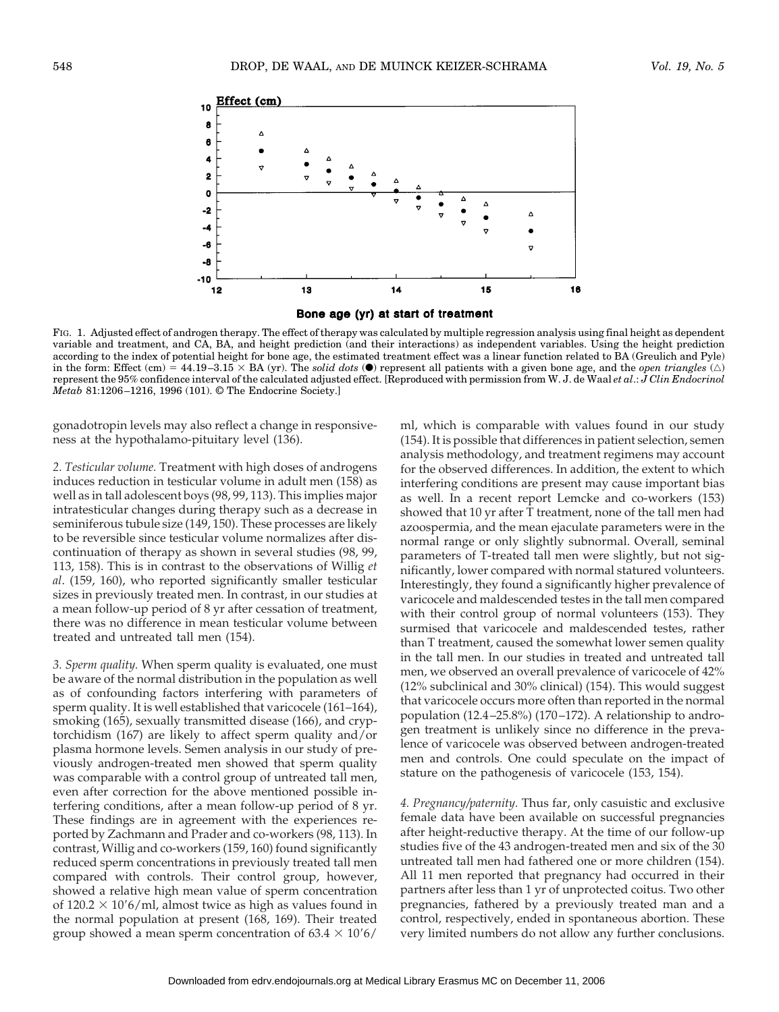

Bone age (yr) at start of treatment

FIG. 1. Adjusted effect of androgen therapy. The effect of therapy was calculated by multiple regression analysis using final height as dependent variable and treatment, and CA, BA, and height prediction (and their interactions) as independent variables. Using the height prediction according to the index of potential height for bone age, the estimated treatment effect was a linear function related to BA (Greulich and Pyle) in the form: Effect (cm) =  $44.19-3.15 \times BA$  (yr). The *solid dots* ( $\bullet$ ) represent all patients with a given bone age, and the *open triangles* ( $\triangle$ ) represent the 95% confidence interval of the calculated adjusted effect. [Reproduced with permission from W. J. de Waal *et al*.: *J Clin Endocrinol Metab* 81:1206–1216, 1996 (101). © The Endocrine Society.]

gonadotropin levels may also reflect a change in responsiveness at the hypothalamo-pituitary level (136).

*2. Testicular volume.* Treatment with high doses of androgens induces reduction in testicular volume in adult men (158) as well as in tall adolescent boys (98, 99, 113). This implies major intratesticular changes during therapy such as a decrease in seminiferous tubule size (149, 150). These processes are likely to be reversible since testicular volume normalizes after discontinuation of therapy as shown in several studies (98, 99, 113, 158). This is in contrast to the observations of Willig *et al*. (159, 160), who reported significantly smaller testicular sizes in previously treated men. In contrast, in our studies at a mean follow-up period of 8 yr after cessation of treatment, there was no difference in mean testicular volume between treated and untreated tall men (154).

*3. Sperm quality.* When sperm quality is evaluated, one must be aware of the normal distribution in the population as well as of confounding factors interfering with parameters of sperm quality. It is well established that varicocele (161–164), smoking (165), sexually transmitted disease (166), and cryptorchidism (167) are likely to affect sperm quality and/or plasma hormone levels. Semen analysis in our study of previously androgen-treated men showed that sperm quality was comparable with a control group of untreated tall men, even after correction for the above mentioned possible interfering conditions, after a mean follow-up period of 8 yr. These findings are in agreement with the experiences reported by Zachmann and Prader and co-workers (98, 113). In contrast, Willig and co-workers (159, 160) found significantly reduced sperm concentrations in previously treated tall men compared with controls. Their control group, however, showed a relative high mean value of sperm concentration of  $120.2 \times 10'$  6/ml, almost twice as high as values found in the normal population at present (168, 169). Their treated group showed a mean sperm concentration of  $63.4 \times 10'6/$ 

ml, which is comparable with values found in our study (154). It is possible that differences in patient selection, semen analysis methodology, and treatment regimens may account for the observed differences. In addition, the extent to which interfering conditions are present may cause important bias as well. In a recent report Lemcke and co-workers (153) showed that 10 yr after T treatment, none of the tall men had azoospermia, and the mean ejaculate parameters were in the normal range or only slightly subnormal. Overall, seminal parameters of T-treated tall men were slightly, but not significantly, lower compared with normal statured volunteers. Interestingly, they found a significantly higher prevalence of varicocele and maldescended testes in the tall men compared with their control group of normal volunteers (153). They surmised that varicocele and maldescended testes, rather than T treatment, caused the somewhat lower semen quality in the tall men. In our studies in treated and untreated tall men, we observed an overall prevalence of varicocele of 42% (12% subclinical and 30% clinical) (154). This would suggest that varicocele occurs more often than reported in the normal population (12.4–25.8%) (170–172). A relationship to androgen treatment is unlikely since no difference in the prevalence of varicocele was observed between androgen-treated men and controls. One could speculate on the impact of stature on the pathogenesis of varicocele (153, 154).

*4. Pregnancy/paternity.* Thus far, only casuistic and exclusive female data have been available on successful pregnancies after height-reductive therapy. At the time of our follow-up studies five of the 43 androgen-treated men and six of the 30 untreated tall men had fathered one or more children (154). All 11 men reported that pregnancy had occurred in their partners after less than 1 yr of unprotected coitus. Two other pregnancies, fathered by a previously treated man and a control, respectively, ended in spontaneous abortion. These very limited numbers do not allow any further conclusions.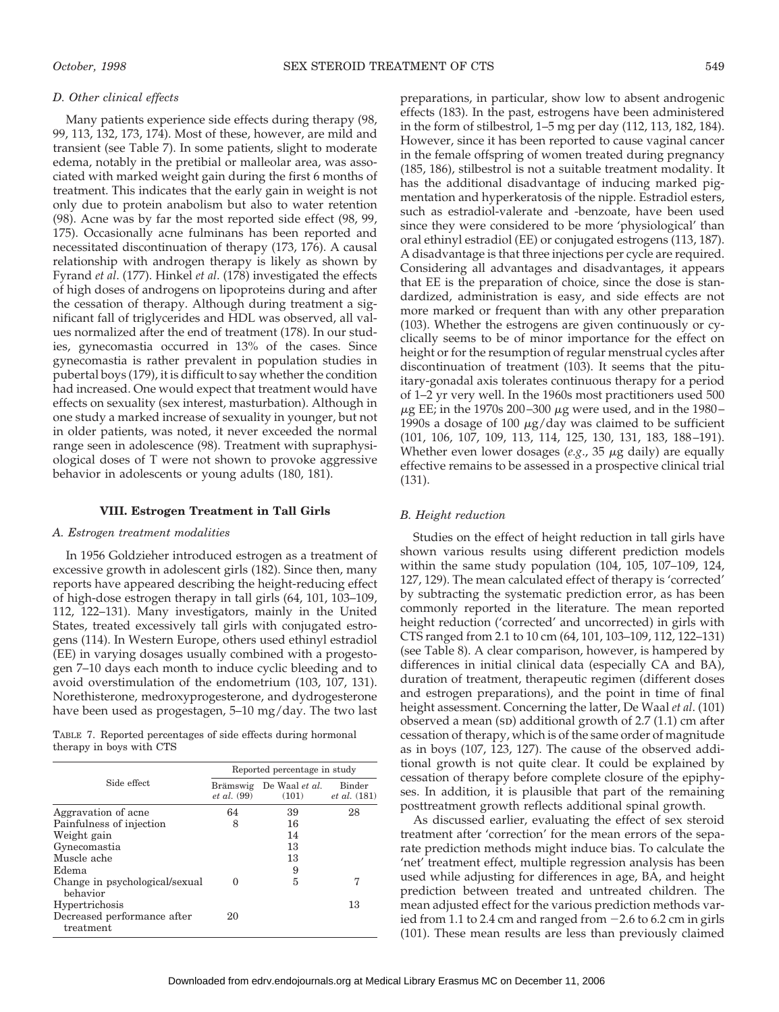#### *D. Other clinical effects*

Many patients experience side effects during therapy (98, 99, 113, 132, 173, 174). Most of these, however, are mild and transient (see Table 7). In some patients, slight to moderate edema, notably in the pretibial or malleolar area, was associated with marked weight gain during the first 6 months of treatment. This indicates that the early gain in weight is not only due to protein anabolism but also to water retention (98). Acne was by far the most reported side effect (98, 99, 175). Occasionally acne fulminans has been reported and necessitated discontinuation of therapy (173, 176). A causal relationship with androgen therapy is likely as shown by Fyrand *et al*. (177). Hinkel *et al*. (178) investigated the effects of high doses of androgens on lipoproteins during and after the cessation of therapy. Although during treatment a significant fall of triglycerides and HDL was observed, all values normalized after the end of treatment (178). In our studies, gynecomastia occurred in 13% of the cases. Since gynecomastia is rather prevalent in population studies in pubertal boys (179), it is difficult to say whether the condition had increased. One would expect that treatment would have effects on sexuality (sex interest, masturbation). Although in one study a marked increase of sexuality in younger, but not in older patients, was noted, it never exceeded the normal range seen in adolescence (98). Treatment with supraphysiological doses of T were not shown to provoke aggressive behavior in adolescents or young adults (180, 181).

#### **VIII. Estrogen Treatment in Tall Girls**

#### *A. Estrogen treatment modalities*

In 1956 Goldzieher introduced estrogen as a treatment of excessive growth in adolescent girls (182). Since then, many reports have appeared describing the height-reducing effect of high-dose estrogen therapy in tall girls (64, 101, 103–109, 112, 122–131). Many investigators, mainly in the United States, treated excessively tall girls with conjugated estrogens (114). In Western Europe, others used ethinyl estradiol (EE) in varying dosages usually combined with a progestogen 7–10 days each month to induce cyclic bleeding and to avoid overstimulation of the endometrium (103, 107, 131). Norethisterone, medroxyprogesterone, and dydrogesterone have been used as progestagen, 5–10 mg/day. The two last

TABLE 7. Reported percentages of side effects during hormonal therapy in boys with CTS

|                                            |                                       | Reported percentage in study |                                      |
|--------------------------------------------|---------------------------------------|------------------------------|--------------------------------------|
| Side effect                                | <b>Brämswig</b><br><i>et al.</i> (99) | De Waal et al.<br>(101)      | <b>Binder</b><br><i>et al.</i> (181) |
| Aggravation of acne                        | 64                                    | 39                           | 28                                   |
| Painfulness of injection                   | 8                                     | 16                           |                                      |
| Weight gain                                |                                       | 14                           |                                      |
| Gynecomastia                               |                                       | 13                           |                                      |
| Muscle ache                                |                                       | 13                           |                                      |
| Edema                                      |                                       | 9                            |                                      |
| Change in psychological/sexual<br>behavior | $\Omega$                              | 5                            | 7                                    |
| Hypertrichosis                             |                                       |                              | 13                                   |
| Decreased performance after<br>treatment   | 20                                    |                              |                                      |

preparations, in particular, show low to absent androgenic effects (183). In the past, estrogens have been administered in the form of stilbestrol, 1–5 mg per day (112, 113, 182, 184). However, since it has been reported to cause vaginal cancer in the female offspring of women treated during pregnancy (185, 186), stilbestrol is not a suitable treatment modality. It has the additional disadvantage of inducing marked pigmentation and hyperkeratosis of the nipple. Estradiol esters, such as estradiol-valerate and -benzoate, have been used since they were considered to be more 'physiological' than oral ethinyl estradiol (EE) or conjugated estrogens (113, 187). A disadvantage is that three injections per cycle are required. Considering all advantages and disadvantages, it appears that EE is the preparation of choice, since the dose is standardized, administration is easy, and side effects are not more marked or frequent than with any other preparation (103). Whether the estrogens are given continuously or cyclically seems to be of minor importance for the effect on height or for the resumption of regular menstrual cycles after discontinuation of treatment (103). It seems that the pituitary-gonadal axis tolerates continuous therapy for a period of 1–2 yr very well. In the 1960s most practitioners used 500  $\mu$ g EE; in the 1970s 200–300  $\mu$ g were used, and in the 1980– 1990s a dosage of 100  $\mu$ g/day was claimed to be sufficient (101, 106, 107, 109, 113, 114, 125, 130, 131, 183, 188–191). Whether even lower dosages  $(e.g., 35 \mu g$  daily) are equally effective remains to be assessed in a prospective clinical trial (131).

## *B. Height reduction*

Studies on the effect of height reduction in tall girls have shown various results using different prediction models within the same study population (104, 105, 107–109, 124, 127, 129). The mean calculated effect of therapy is 'corrected' by subtracting the systematic prediction error, as has been commonly reported in the literature. The mean reported height reduction ('corrected' and uncorrected) in girls with CTS ranged from 2.1 to 10 cm (64, 101, 103–109, 112, 122–131) (see Table 8). A clear comparison, however, is hampered by differences in initial clinical data (especially CA and BA), duration of treatment, therapeutic regimen (different doses and estrogen preparations), and the point in time of final height assessment. Concerning the latter, De Waal *et al*. (101) observed a mean (sp) additional growth of  $2.7$  (1.1) cm after cessation of therapy, which is of the same order of magnitude as in boys (107, 123, 127). The cause of the observed additional growth is not quite clear. It could be explained by cessation of therapy before complete closure of the epiphyses. In addition, it is plausible that part of the remaining posttreatment growth reflects additional spinal growth.

As discussed earlier, evaluating the effect of sex steroid treatment after 'correction' for the mean errors of the separate prediction methods might induce bias. To calculate the 'net' treatment effect, multiple regression analysis has been used while adjusting for differences in age, BA, and height prediction between treated and untreated children. The mean adjusted effect for the various prediction methods varied from 1.1 to 2.4 cm and ranged from  $-2.6$  to 6.2 cm in girls (101). These mean results are less than previously claimed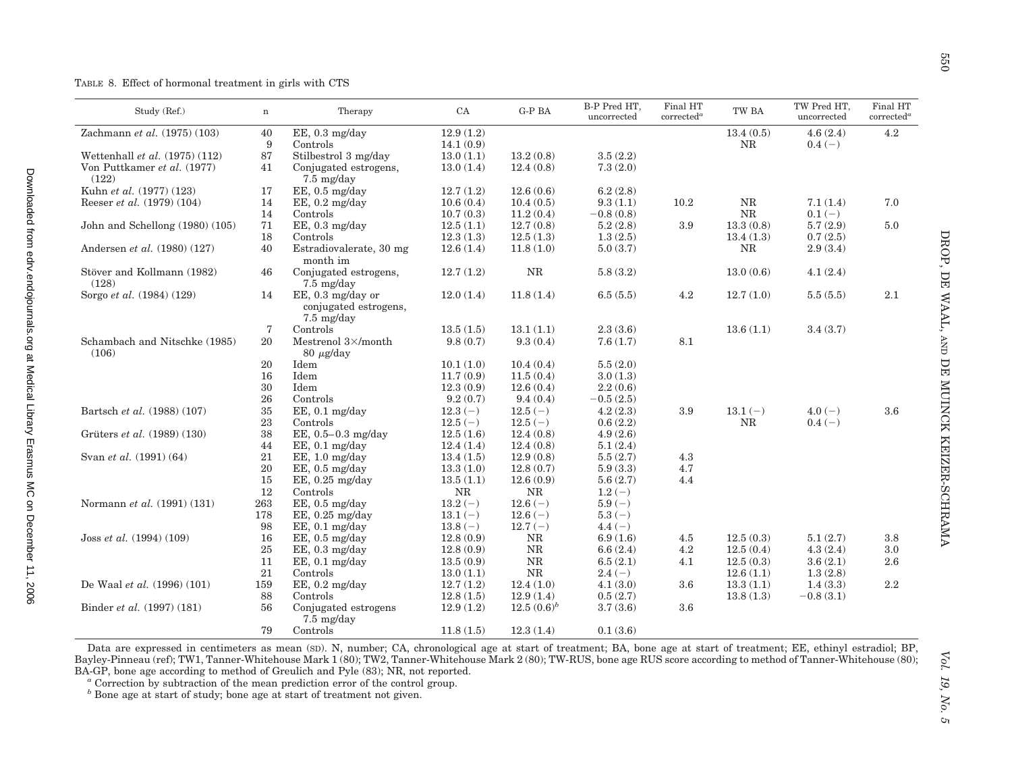Downloadedfrom Bergical Library Erasmus MC on December 11, 2006 edrv.endoshing PD

Downloaded from edry.endojournals.org at Medical Library Erasmus MC on December 11, 2006

| Study (Ref.)                       | $\mathbf n$ | Therapy                    | ${\rm CA}$ | $G-PBA$       | B-P Pred HT,<br>uncorrected | Final HT<br>corrected <sup>a</sup> | TW BA     | TW Pred HT,<br>uncorrected | Final HT<br>corrected <sup>a</sup> |
|------------------------------------|-------------|----------------------------|------------|---------------|-----------------------------|------------------------------------|-----------|----------------------------|------------------------------------|
| Zachmann et al. (1975) (103)       | 40          | $EE$ , 0.3 mg/day          | 12.9(1.2)  |               |                             |                                    | 13.4(0.5) | 4.6(2.4)                   | 4.2                                |
|                                    | 9           | Controls                   | 14.1(0.9)  |               |                             |                                    | $\rm NR$  | $0.4(-)$                   |                                    |
| Wettenhall et al. $(1975)$ $(112)$ | 87          | Stilbestrol 3 mg/day       | 13.0(1.1)  | 13.2(0.8)     | 3.5(2.2)                    |                                    |           |                            |                                    |
| Von Puttkamer et al. (1977)        | 41          | Conjugated estrogens,      | 13.0(1.4)  | 12.4(0.8)     | 7.3(2.0)                    |                                    |           |                            |                                    |
| (122)                              |             | $7.5 \text{ mg/day}$       |            |               |                             |                                    |           |                            |                                    |
| Kuhn et al. (1977) (123)           | 17          | $EE$ , 0.5 mg/day          | 12.7(1.2)  | 12.6(0.6)     | 6.2(2.8)                    |                                    |           |                            |                                    |
| Reeser et al. (1979) (104)         | 14          | $EE$ , 0.2 mg/day          | 10.6(0.4)  | 10.4(0.5)     | 9.3(1.1)                    | 10.2                               | $\rm NR$  | 7.1(1.4)                   | 7.0                                |
|                                    | 14          | Controls                   | 10.7(0.3)  | 11.2(0.4)     | $-0.8(0.8)$                 |                                    | NR        | $0.1(-)$                   |                                    |
| John and Schellong (1980) (105)    | 71          | EE, 0.3 mg/day             | 12.5(1.1)  | 12.7(0.8)     | 5.2(2.8)                    | 3.9                                | 13.3(0.8) | 5.7(2.9)                   | 5.0                                |
|                                    | 18          | Controls                   | 12.3(1.3)  | 12.5(1.3)     | 1.3(2.5)                    |                                    | 13.4(1.3) | 0.7(2.5)                   |                                    |
| Andersen et al. (1980) (127)       | 40          | Estradiovalerate, 30 mg    | 12.6(1.4)  | 11.8(1.0)     | 5.0(3.7)                    |                                    | NR        | 2.9(3.4)                   |                                    |
|                                    |             | month im                   |            |               |                             |                                    |           |                            |                                    |
| Stöver and Kollmann (1982)         | 46          | Conjugated estrogens,      | 12.7(1.2)  | NR            | 5.8(3.2)                    |                                    | 13.0(0.6) | 4.1(2.4)                   |                                    |
| (128)                              |             | $7.5 \text{ mg/day}$       |            |               |                             |                                    |           |                            |                                    |
| Sorgo et al. (1984) (129)          | 14          | EE, 0.3 mg/day or          | 12.0(1.4)  | 11.8(1.4)     | 6.5(5.5)                    | 4.2                                | 12.7(1.0) | 5.5(5.5)                   | 2.1                                |
|                                    |             | conjugated estrogens,      |            |               |                             |                                    |           |                            |                                    |
|                                    |             | $7.5 \text{ mg/day}$       |            |               |                             |                                    |           |                            |                                    |
|                                    | 7           | Controls                   | 13.5(1.5)  | 13.1(1.1)     | 2.3(3.6)                    |                                    | 13.6(1.1) | 3.4(3.7)                   |                                    |
| Schambach and Nitschke (1985)      | 20          | Mestrenol $3\times$ /month | 9.8(0.7)   | 9.3(0.4)      | 7.6(1.7)                    | 8.1                                |           |                            |                                    |
| (106)                              |             | $80 \mu g/day$             |            |               |                             |                                    |           |                            |                                    |
|                                    | 20          | Idem                       | 10.1(1.0)  | 10.4(0.4)     | 5.5(2.0)                    |                                    |           |                            |                                    |
|                                    | 16          | Idem                       | 11.7(0.9)  | 11.5(0.4)     | 3.0(1.3)                    |                                    |           |                            |                                    |
|                                    | 30          | Idem                       | 12.3(0.9)  | 12.6(0.4)     | 2.2(0.6)                    |                                    |           |                            |                                    |
|                                    | 26          | Controls                   | 9.2(0.7)   | 9.4(0.4)      | $-0.5(2.5)$                 |                                    |           |                            |                                    |
| Bartsch et al. (1988) (107)        | 35          | $EE$ , 0.1 mg/day          | $12.3(-)$  | $12.5(-)$     | 4.2(2.3)                    | 3.9                                | $13.1(-)$ | $4.0(-)$                   | 3.6                                |
|                                    | 23          | Controls                   | $12.5(-)$  | $12.5(-)$     | 0.6(2.2)                    |                                    | <b>NR</b> | $0.4(-)$                   |                                    |
| Grüters et al. (1989) (130)        | 38          | EE, $0.5 - 0.3$ mg/day     | 12.5(1.6)  | 12.4(0.8)     | 4.9(2.6)                    |                                    |           |                            |                                    |
|                                    | 44          | $EE$ , 0.1 mg/day          | 12.4(1.4)  | 12.4(0.8)     | 5.1(2.4)                    |                                    |           |                            |                                    |
| Svan et al. (1991) (64)            | 21          | $EE$ , 1.0 mg/day          | 13.4(1.5)  | 12.9(0.8)     | 5.5(2.7)                    | 4.3                                |           |                            |                                    |
|                                    | 20          | $EE, 0.5$ mg/day           | 13.3(1.0)  | 12.8(0.7)     | 5.9(3.3)                    | 4.7                                |           |                            |                                    |
|                                    | 15          | $EE$ , 0.25 mg/day         | 13.5(1.1)  | 12.6(0.9)     | 5.6(2.7)                    | 4.4                                |           |                            |                                    |
|                                    | 12          | Controls                   | $\rm NR$   | <b>NR</b>     | $1.2(-)$                    |                                    |           |                            |                                    |
| Normann et al. (1991) (131)        | 263         | $EE$ , 0.5 mg/day          | $13.2(-)$  | $12.6(-)$     | $5.9(-)$                    |                                    |           |                            |                                    |
|                                    | 178         | $EE$ , 0.25 mg/day         | $13.1(-)$  | $12.6(-)$     | $5.3(-)$                    |                                    |           |                            |                                    |
|                                    | 98          | $EE$ , 0.1 mg/day          | $13.8(-)$  | $12.7(-)$     | $4.4(-)$                    |                                    |           |                            |                                    |
| Joss et al. (1994) (109)           | 16          | $EE$ , 0.5 mg/day          | 12.8(0.9)  | $\rm NR$      | 6.9(1.6)                    | 4.5                                | 12.5(0.3) | 5.1(2.7)                   | 3.8                                |
|                                    | 25          | $EE$ , 0.3 mg/day          | 12.8(0.9)  | NR            | 6.6(2.4)                    | $4.2\,$                            | 12.5(0.4) | 4.3(2.4)                   | 3.0                                |
|                                    | 11          | $EE$ , 0.1 mg/day          | 13.5(0.9)  | NR            | 6.5(2.1)                    | 4.1                                | 12.5(0.3) | 3.6(2.1)                   | 2.6                                |
|                                    | 21          | Controls                   | 13.0(1.1)  | $\rm NR$      | $2.4(-)$                    |                                    | 12.6(1.1) | 1.3(2.8)                   |                                    |
| De Waal et al. (1996) (101)        | 159         | $EE$ , 0.2 mg/day          | 12.7(1.2)  | 12.4(1.0)     | 4.1(3.0)                    | 3.6                                | 13.3(1.1) | 1.4(3.3)                   | $2.2\,$                            |
|                                    | 88          | Controls                   | 12.8(1.5)  | 12.9(1.4)     | 0.5(2.7)                    |                                    | 13.8(1.3) | $-0.8(3.1)$                |                                    |
| Binder et al. (1997) (181)         | 56          | Conjugated estrogens       | 12.9(1.2)  | $12.5(0.6)^b$ | 3.7(3.6)                    | 3.6                                |           |                            |                                    |
|                                    |             | $7.5 \text{ mg/day}$       |            |               |                             |                                    |           |                            |                                    |
|                                    | 79          | Controls                   | 11.8(1.5)  | 12.3(1.4)     | 0.1(3.6)                    |                                    |           |                            |                                    |

Data are expressed in centimeters as mean (SD). N, number; CA, chronological age at start of treatment; BA, bone age at start of treatment; EE, ethinyl estradiol; BP, Bayley-Pinneau (ref); TW1, Tanner-Whitehouse Mark 1 (80); TW2, Tanner-Whitehouse Mark 2 (80); TW-RUS, bone age RUS score according to method of Tanner-Whitehouse (80); BA-GP, bone age according to method of Greulich and Pyle (83); NR, not reported.

*a* Correction by subtraction of the mean prediction error of the control group.

*b* Bone age at start of study; bone age at start of treatment not given.

 $\mathfrak{S}$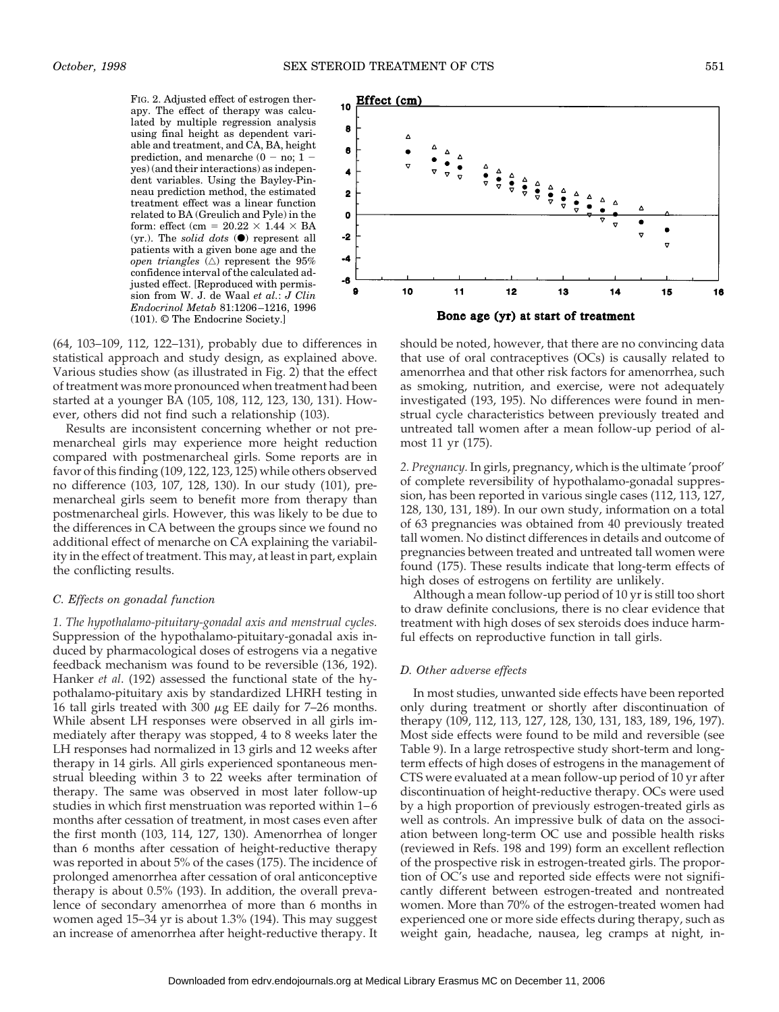FIG. 2. Adjusted effect of estrogen therapy. The effect of therapy was calculated by multiple regression analysis using final height as dependent variable and treatment, and CA, BA, height prediction, and menarche (0 - no;  $1$ yes) (and their interactions) as independent variables. Using the Bayley-Pinneau prediction method, the estimated treatment effect was a linear function related to BA (Greulich and Pyle) in the form: effect (cm =  $20.22 \times 1.44 \times BA$ (yr.). The *solid dots*  $\Theta$  represent all patients with a given bone age and the *open triangles*  $(\triangle)$  represent the 95% confidence interval of the calculated adjusted effect. [Reproduced with permission from W. J. de Waal *et al.*: *J Clin Endocrinol Metab* 81:1206–1216, 1996 (101). © The Endocrine Society.]

(64, 103–109, 112, 122–131), probably due to differences in statistical approach and study design, as explained above. Various studies show (as illustrated in Fig. 2) that the effect of treatment was more pronounced when treatment had been started at a younger BA (105, 108, 112, 123, 130, 131). However, others did not find such a relationship (103).

Results are inconsistent concerning whether or not premenarcheal girls may experience more height reduction compared with postmenarcheal girls. Some reports are in favor of this finding (109, 122, 123, 125) while others observed no difference (103, 107, 128, 130). In our study (101), premenarcheal girls seem to benefit more from therapy than postmenarcheal girls. However, this was likely to be due to the differences in CA between the groups since we found no additional effect of menarche on CA explaining the variability in the effect of treatment. This may, at least in part, explain the conflicting results.

#### *C. Effects on gonadal function*

*1. The hypothalamo-pituitary-gonadal axis and menstrual cycles.* Suppression of the hypothalamo-pituitary-gonadal axis induced by pharmacological doses of estrogens via a negative feedback mechanism was found to be reversible (136, 192). Hanker *et al*. (192) assessed the functional state of the hypothalamo-pituitary axis by standardized LHRH testing in 16 tall girls treated with 300  $\mu$ g EE daily for 7–26 months. While absent LH responses were observed in all girls immediately after therapy was stopped, 4 to 8 weeks later the LH responses had normalized in 13 girls and 12 weeks after therapy in 14 girls. All girls experienced spontaneous menstrual bleeding within 3 to 22 weeks after termination of therapy. The same was observed in most later follow-up studies in which first menstruation was reported within 1–6 months after cessation of treatment, in most cases even after the first month (103, 114, 127, 130). Amenorrhea of longer than 6 months after cessation of height-reductive therapy was reported in about 5% of the cases (175). The incidence of prolonged amenorrhea after cessation of oral anticonceptive therapy is about 0.5% (193). In addition, the overall prevalence of secondary amenorrhea of more than 6 months in women aged 15–34 yr is about 1.3% (194). This may suggest an increase of amenorrhea after height-reductive therapy. It



should be noted, however, that there are no convincing data that use of oral contraceptives (OCs) is causally related to amenorrhea and that other risk factors for amenorrhea, such as smoking, nutrition, and exercise, were not adequately investigated (193, 195). No differences were found in menstrual cycle characteristics between previously treated and untreated tall women after a mean follow-up period of almost 11 yr (175).

*2. Pregnancy.* In girls, pregnancy, which is the ultimate 'proof' of complete reversibility of hypothalamo-gonadal suppression, has been reported in various single cases (112, 113, 127, 128, 130, 131, 189). In our own study, information on a total of 63 pregnancies was obtained from 40 previously treated tall women. No distinct differences in details and outcome of pregnancies between treated and untreated tall women were found (175). These results indicate that long-term effects of high doses of estrogens on fertility are unlikely.

Although a mean follow-up period of 10 yr is still too short to draw definite conclusions, there is no clear evidence that treatment with high doses of sex steroids does induce harmful effects on reproductive function in tall girls.

### *D. Other adverse effects*

In most studies, unwanted side effects have been reported only during treatment or shortly after discontinuation of therapy (109, 112, 113, 127, 128, 130, 131, 183, 189, 196, 197). Most side effects were found to be mild and reversible (see Table 9). In a large retrospective study short-term and longterm effects of high doses of estrogens in the management of CTS were evaluated at a mean follow-up period of 10 yr after discontinuation of height-reductive therapy. OCs were used by a high proportion of previously estrogen-treated girls as well as controls. An impressive bulk of data on the association between long-term OC use and possible health risks (reviewed in Refs. 198 and 199) form an excellent reflection of the prospective risk in estrogen-treated girls. The proportion of OC's use and reported side effects were not significantly different between estrogen-treated and nontreated women. More than 70% of the estrogen-treated women had experienced one or more side effects during therapy, such as weight gain, headache, nausea, leg cramps at night, in-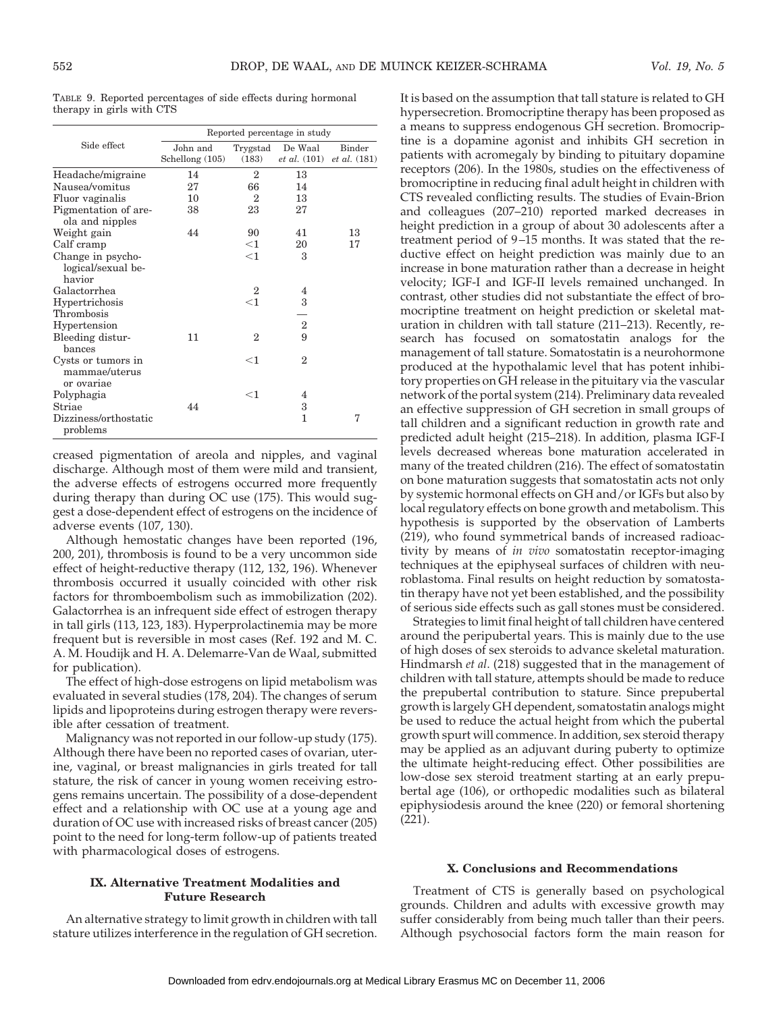TABLE 9. Reported percentages of side effects during hormonal therapy in girls with CTS

|                                                   |                               |                   | Reported percentage in study     |                                      |
|---------------------------------------------------|-------------------------------|-------------------|----------------------------------|--------------------------------------|
| Side effect                                       | John and<br>Schellong $(105)$ | Trygstad<br>(183) | De Waal<br><i>et al.</i> $(101)$ | <b>Binder</b><br><i>et al.</i> (181) |
| Headache/migraine                                 | 14                            | 2                 | 13                               |                                      |
| Nausea/vomitus                                    | 27                            | 66                | 14                               |                                      |
| Fluor vaginalis                                   | 10                            | 2                 | 13                               |                                      |
| Pigmentation of are-<br>ola and nipples           | 38                            | 23                | 27                               |                                      |
| Weight gain                                       | 44                            | 90                | 41                               | 13                                   |
| Calf cramp                                        |                               | $<$ 1             | 20                               | 17                                   |
| Change in psycho-<br>logical/sexual be-<br>havior |                               | $<$ 1             | 3                                |                                      |
| Galactorrhea                                      |                               | $\overline{2}$    | 4                                |                                      |
| Hypertrichosis<br>Thrombosis                      |                               | $<$ 1             | 3                                |                                      |
| Hypertension                                      |                               |                   | $\overline{2}$                   |                                      |
| Bleeding distur-<br>bances                        | 11                            | $\overline{2}$    | 9                                |                                      |
| Cysts or tumors in<br>mammae/uterus<br>or ovariae |                               | $<$ 1             | $\overline{2}$                   |                                      |
| Polyphagia                                        |                               | $<$ 1             | 4                                |                                      |
| Striae                                            | 44                            |                   | 3                                |                                      |
| Dizziness/orthostatic<br>problems                 |                               |                   | 1                                | 7                                    |

creased pigmentation of areola and nipples, and vaginal discharge. Although most of them were mild and transient, the adverse effects of estrogens occurred more frequently during therapy than during OC use (175). This would suggest a dose-dependent effect of estrogens on the incidence of adverse events (107, 130).

Although hemostatic changes have been reported (196, 200, 201), thrombosis is found to be a very uncommon side effect of height-reductive therapy (112, 132, 196). Whenever thrombosis occurred it usually coincided with other risk factors for thromboembolism such as immobilization (202). Galactorrhea is an infrequent side effect of estrogen therapy in tall girls (113, 123, 183). Hyperprolactinemia may be more frequent but is reversible in most cases (Ref. 192 and M. C. A. M. Houdijk and H. A. Delemarre-Van de Waal, submitted for publication).

The effect of high-dose estrogens on lipid metabolism was evaluated in several studies (178, 204). The changes of serum lipids and lipoproteins during estrogen therapy were reversible after cessation of treatment.

Malignancy was not reported in our follow-up study (175). Although there have been no reported cases of ovarian, uterine, vaginal, or breast malignancies in girls treated for tall stature, the risk of cancer in young women receiving estrogens remains uncertain. The possibility of a dose-dependent effect and a relationship with OC use at a young age and duration of OC use with increased risks of breast cancer (205) point to the need for long-term follow-up of patients treated with pharmacological doses of estrogens.

## **IX. Alternative Treatment Modalities and Future Research**

An alternative strategy to limit growth in children with tall stature utilizes interference in the regulation of GH secretion.

It is based on the assumption that tall stature is related to GH hypersecretion. Bromocriptine therapy has been proposed as a means to suppress endogenous GH secretion. Bromocriptine is a dopamine agonist and inhibits GH secretion in patients with acromegaly by binding to pituitary dopamine receptors (206). In the 1980s, studies on the effectiveness of bromocriptine in reducing final adult height in children with CTS revealed conflicting results. The studies of Evain-Brion and colleagues (207–210) reported marked decreases in height prediction in a group of about 30 adolescents after a treatment period of 9–15 months. It was stated that the reductive effect on height prediction was mainly due to an increase in bone maturation rather than a decrease in height velocity; IGF-I and IGF-II levels remained unchanged. In contrast, other studies did not substantiate the effect of bromocriptine treatment on height prediction or skeletal maturation in children with tall stature (211–213). Recently, research has focused on somatostatin analogs for the management of tall stature. Somatostatin is a neurohormone produced at the hypothalamic level that has potent inhibitory properties on GH release in the pituitary via the vascular network of the portal system (214). Preliminary data revealed an effective suppression of GH secretion in small groups of tall children and a significant reduction in growth rate and predicted adult height (215–218). In addition, plasma IGF-I levels decreased whereas bone maturation accelerated in many of the treated children (216). The effect of somatostatin on bone maturation suggests that somatostatin acts not only by systemic hormonal effects on GH and/or IGFs but also by local regulatory effects on bone growth and metabolism. This hypothesis is supported by the observation of Lamberts (219), who found symmetrical bands of increased radioactivity by means of *in vivo* somatostatin receptor-imaging techniques at the epiphyseal surfaces of children with neuroblastoma. Final results on height reduction by somatostatin therapy have not yet been established, and the possibility of serious side effects such as gall stones must be considered.

Strategies to limit final height of tall children have centered around the peripubertal years. This is mainly due to the use of high doses of sex steroids to advance skeletal maturation. Hindmarsh *et al*. (218) suggested that in the management of children with tall stature, attempts should be made to reduce the prepubertal contribution to stature. Since prepubertal growth is largely GH dependent, somatostatin analogs might be used to reduce the actual height from which the pubertal growth spurt will commence. In addition, sex steroid therapy may be applied as an adjuvant during puberty to optimize the ultimate height-reducing effect. Other possibilities are low-dose sex steroid treatment starting at an early prepubertal age (106), or orthopedic modalities such as bilateral epiphysiodesis around the knee (220) or femoral shortening (221).

#### **X. Conclusions and Recommendations**

Treatment of CTS is generally based on psychological grounds. Children and adults with excessive growth may suffer considerably from being much taller than their peers. Although psychosocial factors form the main reason for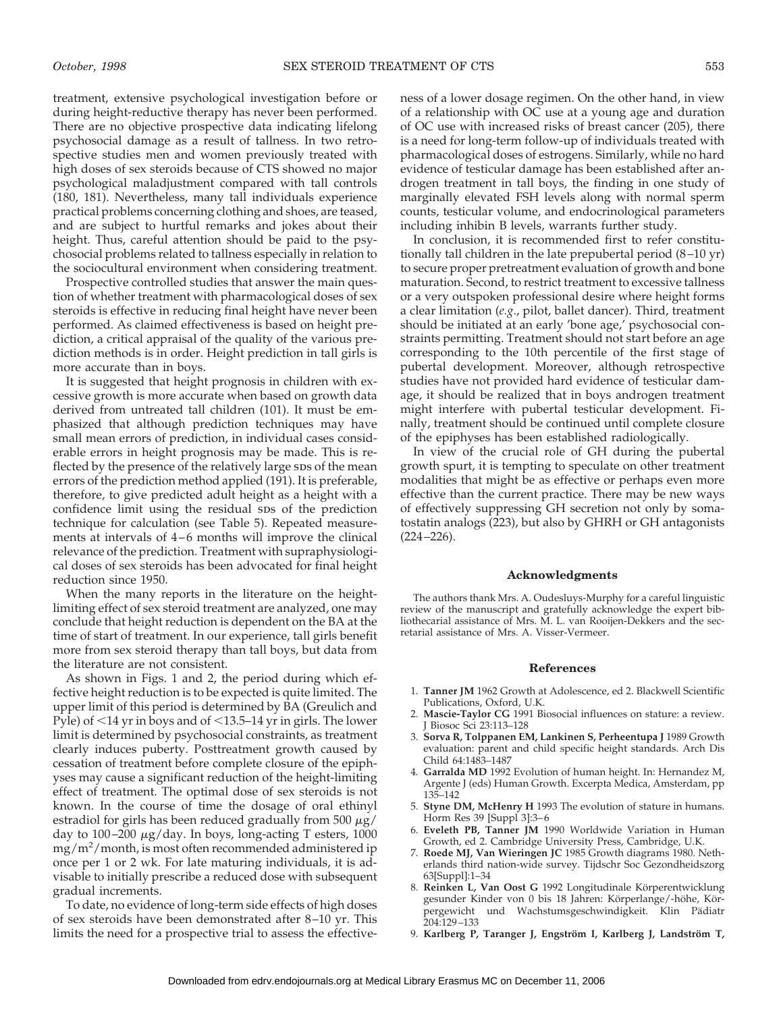treatment, extensive psychological investigation before or during height-reductive therapy has never been performed. There are no objective prospective data indicating lifelong psychosocial damage as a result of tallness. In two retrospective studies men and women previously treated with high doses of sex steroids because of CTS showed no major psychological maladjustment compared with tall controls (180, 181). Nevertheless, many tall individuals experience practical problems concerning clothing and shoes, are teased, and are subject to hurtful remarks and jokes about their height. Thus, careful attention should be paid to the psychosocial problems related to tallness especially in relation to the sociocultural environment when considering treatment.

Prospective controlled studies that answer the main question of whether treatment with pharmacological doses of sex steroids is effective in reducing final height have never been performed. As claimed effectiveness is based on height prediction, a critical appraisal of the quality of the various prediction methods is in order. Height prediction in tall girls is more accurate than in boys.

It is suggested that height prognosis in children with excessive growth is more accurate when based on growth data derived from untreated tall children (101). It must be emphasized that although prediction techniques may have small mean errors of prediction, in individual cases considerable errors in height prognosis may be made. This is reflected by the presence of the relatively large sps of the mean errors of the prediction method applied (191). It is preferable, therefore, to give predicted adult height as a height with a confidence limit using the residual sps of the prediction technique for calculation (see Table 5). Repeated measurements at intervals of 4–6 months will improve the clinical relevance of the prediction. Treatment with supraphysiological doses of sex steroids has been advocated for final height reduction since 1950.

When the many reports in the literature on the heightlimiting effect of sex steroid treatment are analyzed, one may conclude that height reduction is dependent on the BA at the time of start of treatment. In our experience, tall girls benefit more from sex steroid therapy than tall boys, but data from the literature are not consistent.

As shown in Figs. 1 and 2, the period during which effective height reduction is to be expected is quite limited. The upper limit of this period is determined by BA (Greulich and Pyle) of  $<$ 14 yr in boys and of  $<$ 13.5–14 yr in girls. The lower limit is determined by psychosocial constraints, as treatment clearly induces puberty. Posttreatment growth caused by cessation of treatment before complete closure of the epiphyses may cause a significant reduction of the height-limiting effect of treatment. The optimal dose of sex steroids is not known. In the course of time the dosage of oral ethinyl estradiol for girls has been reduced gradually from 500  $\mu$ g/ day to  $100-200 \mu g/day$ . In boys, long-acting T esters, 1000 mg/m<sup>2</sup> /month, is most often recommended administered ip once per 1 or 2 wk. For late maturing individuals, it is advisable to initially prescribe a reduced dose with subsequent gradual increments.

To date, no evidence of long-term side effects of high doses of sex steroids have been demonstrated after 8–10 yr. This limits the need for a prospective trial to assess the effectiveness of a lower dosage regimen. On the other hand, in view of a relationship with OC use at a young age and duration of OC use with increased risks of breast cancer (205), there is a need for long-term follow-up of individuals treated with pharmacological doses of estrogens. Similarly, while no hard evidence of testicular damage has been established after androgen treatment in tall boys, the finding in one study of marginally elevated FSH levels along with normal sperm counts, testicular volume, and endocrinological parameters including inhibin B levels, warrants further study.

In conclusion, it is recommended first to refer constitutionally tall children in the late prepubertal period (8–10 yr) to secure proper pretreatment evaluation of growth and bone maturation. Second, to restrict treatment to excessive tallness or a very outspoken professional desire where height forms a clear limitation (*e.g*., pilot, ballet dancer). Third, treatment should be initiated at an early 'bone age,' psychosocial constraints permitting. Treatment should not start before an age corresponding to the 10th percentile of the first stage of pubertal development. Moreover, although retrospective studies have not provided hard evidence of testicular damage, it should be realized that in boys androgen treatment might interfere with pubertal testicular development. Finally, treatment should be continued until complete closure of the epiphyses has been established radiologically.

In view of the crucial role of GH during the pubertal growth spurt, it is tempting to speculate on other treatment modalities that might be as effective or perhaps even more effective than the current practice. There may be new ways of effectively suppressing GH secretion not only by somatostatin analogs (223), but also by GHRH or GH antagonists (224–226).

#### **Acknowledgments**

The authors thank Mrs. A. Oudesluys-Murphy for a careful linguistic review of the manuscript and gratefully acknowledge the expert bibliothecarial assistance of Mrs. M. L. van Rooijen-Dekkers and the secretarial assistance of Mrs. A. Visser-Vermeer.

#### **References**

- 1. **Tanner JM** 1962 Growth at Adolescence, ed 2. Blackwell Scientific Publications, Oxford, U.K.
- 2. **Mascie-Taylor CG** 1991 Biosocial influences on stature: a review. J Biosoc Sci 23:113–128
- 3. **Sorva R, Tolppanen EM, Lankinen S, Perheentupa J** 1989 Growth evaluation: parent and child specific height standards. Arch Dis Child 64:1483–1487
- 4. **Garralda MD** 1992 Evolution of human height. In: Hernandez M, Argente J (eds) Human Growth. Excerpta Medica, Amsterdam, pp 135–142
- 5. **Styne DM, McHenry H** 1993 The evolution of stature in humans. Horm Res 39 [Suppl 3]:3–6
- 6. **Eveleth PB, Tanner JM** 1990 Worldwide Variation in Human Growth, ed 2. Cambridge University Press, Cambridge, U.K.
- 7. **Roede MJ, Van Wieringen JC** 1985 Growth diagrams 1980. Netherlands third nation-wide survey. Tijdschr Soc Gezondheidszorg 63[Suppl]:1–34
- 8. Reinken L, Van Oost G 1992 Longitudinale Körperentwicklung gesunder Kinder von 0 bis 18 Jahren: Körperlange/-höhe, Körpergewicht und Wachstumsgeschwindigkeit. Klin Pädiatr 204:129–133
- 9. Karlberg P, Taranger J, Engström I, Karlberg J, Landström T,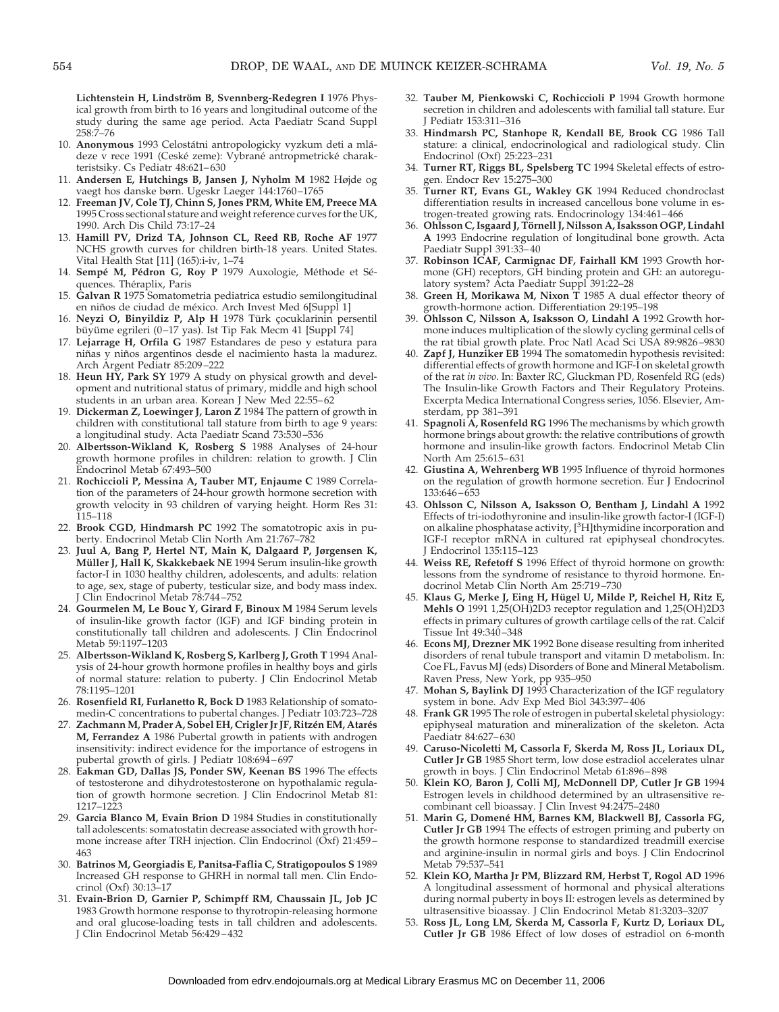Lichtenstein H, Lindström B, Svennberg-Redegren I 1976 Physical growth from birth to 16 years and longitudinal outcome of the study during the same age period. Acta Paediatr Scand Suppl 258:7–76

- 10. **Anonymous** 1993 Celostátni antropologicky vyzkum deti a mládeze v rece 1991 (Ceské zeme): Vybrané antropmetrické charakteristsiky. Cs Pediatr 48:621–630
- 11. **Andersen E, Hutchings B, Jansen J, Nyholm M** 1982 Højde og vaegt hos danske børn. Ugeskr Laeger 144:1760–1765
- 12. **Freeman JV, Cole TJ, Chinn S, Jones PRM, White EM, Preece MA** 1995 Cross sectional stature and weight reference curves for the UK, 1990. Arch Dis Child 73:17–24
- 13. **Hamill PV, Drizd TA, Johnson CL, Reed RB, Roche AF** 1977 NCHS growth curves for children birth-18 years. United States. Vital Health Stat [11] (165):i-iv, 1–74
- 14. Sempé M, Pédron G, Roy P 1979 Auxologie, Méthode et Séquences. Théraplix, Paris
- 15. **Galvan R** 1975 Somatometria pediatrica estudio semilongitudinal en niños de ciudad de méxico. Arch Invest Med 6[Suppl 1]
- 16. Neyzi O, Binyildiz P, Alp H 1978 Türk çocuklarinin persentil büyüme egrileri (0–17 yas). Ist Tip Fak Mecm 41 [Suppl 74]
- 17. **Lejarrage H, Orfila G** 1987 Estandares de peso y estatura para niñas y niños argentinos desde el nacimiento hasta la madurez. Arch Argent Pediatr 85:209–222
- 18. **Heun HY, Park SY** 1979 A study on physical growth and development and nutritional status of primary, middle and high school students in an urban area. Korean J New Med 22:55–62
- 19. **Dickerman Z, Loewinger J, Laron Z** 1984 The pattern of growth in children with constitutional tall stature from birth to age 9 years: a longitudinal study. Acta Paediatr Scand 73:530–536
- 20. **Albertsson-Wikland K, Rosberg S** 1988 Analyses of 24-hour growth hormone profiles in children: relation to growth. J Clin Endocrinol Metab 67:493–500
- 21. **Rochiccioli P, Messina A, Tauber MT, Enjaume C** 1989 Correlation of the parameters of 24-hour growth hormone secretion with growth velocity in 93 children of varying height. Horm Res 31: 115–118
- 22. **Brook CGD, Hindmarsh PC** 1992 The somatotropic axis in puberty. Endocrinol Metab Clin North Am 21:767–782
- 23. **Juul A, Bang P, Hertel NT, Main K, Dalgaard P, Jørgensen K, Müller J, Hall K, Skakkebaek NE** 1994 Serum insulin-like growth factor-I in 1030 healthy children, adolescents, and adults: relation to age, sex, stage of puberty, testicular size, and body mass index. Clin Endocrinol Metab 78:744-752
- 24. **Gourmelen M, Le Bouc Y, Girard F, Binoux M** 1984 Serum levels of insulin-like growth factor (IGF) and IGF binding protein in constitutionally tall children and adolescents. J Clin Endocrinol Metab 59:1197–1203
- 25. **Albertsson-Wikland K, Rosberg S, Karlberg J, Groth T** 1994 Analysis of 24-hour growth hormone profiles in healthy boys and girls of normal stature: relation to puberty. J Clin Endocrinol Metab 78:1195–1201
- 26. **Rosenfield RI, Furlanetto R, Bock D** 1983 Relationship of somatomedin-C concentrations to pubertal changes. J Pediatr 103:723–728
- 27. Zachmann M, Prader A, Sobel EH, Crigler Jr JF, Ritzén EM, Atarés **M, Ferrandez A** 1986 Pubertal growth in patients with androgen insensitivity: indirect evidence for the importance of estrogens in pubertal growth of girls. J Pediatr 108:694–697
- 28. **Eakman GD, Dallas JS, Ponder SW, Keenan BS** 1996 The effects of testosterone and dihydrotestosterone on hypothalamic regulation of growth hormone secretion. J Clin Endocrinol Metab 81: 1217–1223
- 29. **Garcia Blanco M, Evain Brion D** 1984 Studies in constitutionally tall adolescents: somatostatin decrease associated with growth hormone increase after TRH injection. Clin Endocrinol (Oxf) 21:459– 463
- 30. **Batrinos M, Georgiadis E, Panitsa-Faflia C, Stratigopoulos S** 1989 Increased GH response to GHRH in normal tall men. Clin Endocrinol (Oxf) 30:13–17
- 31. **Evain-Brion D, Garnier P, Schimpff RM, Chaussain JL, Job JC** 1983 Growth hormone response to thyrotropin-releasing hormone and oral glucose-loading tests in tall children and adolescents. J Clin Endocrinol Metab 56:429–432
- 32. **Tauber M, Pienkowski C, Rochiccioli P** 1994 Growth hormone secretion in children and adolescents with familial tall stature. Eur J Pediatr 153:311–316
- 33. **Hindmarsh PC, Stanhope R, Kendall BE, Brook CG** 1986 Tall stature: a clinical, endocrinological and radiological study. Clin Endocrinol (Oxf) 25:223–231
- 34. **Turner RT, Riggs BL, Spelsberg TC** 1994 Skeletal effects of estrogen. Endocr Rev 15:275–300
- 35. **Turner RT, Evans GL, Wakley GK** 1994 Reduced chondroclast differentiation results in increased cancellous bone volume in estrogen-treated growing rats. Endocrinology 134:461–466
- 36. Ohlsson C, Isgaard J, Törnell J, Nilsson A, Isaksson OGP, Lindahl **A** 1993 Endocrine regulation of longitudinal bone growth. Acta Paediatr Suppl 391:33–40
- 37. **Robinson ICAF, Carmignac DF, Fairhall KM** 1993 Growth hormone (GH) receptors, GH binding protein and GH: an autoregulatory system? Acta Paediatr Suppl 391:22–28
- 38. **Green H, Morikawa M, Nixon T** 1985 A dual effector theory of growth-hormone action. Differentiation 29:195–198
- 39. **Ohlsson C, Nilsson A, Isaksson O, Lindahl A** 1992 Growth hormone induces multiplication of the slowly cycling germinal cells of the rat tibial growth plate. Proc Natl Acad Sci USA 89:9826–9830
- 40. **Zapf J, Hunziker EB** 1994 The somatomedin hypothesis revisited: differential effects of growth hormone and IGF-I on skeletal growth of the rat *in vivo*. In: Baxter RC, Gluckman PD, Rosenfeld RG (eds) The Insulin-like Growth Factors and Their Regulatory Proteins. Excerpta Medica International Congress series, 1056. Elsevier, Amsterdam, pp 381–391
- 41. **Spagnoli A, Rosenfeld RG** 1996 The mechanisms by which growth hormone brings about growth: the relative contributions of growth hormone and insulin-like growth factors. Endocrinol Metab Clin North Am 25:615–631
- 42. **Giustina A, Wehrenberg WB** 1995 Influence of thyroid hormones on the regulation of growth hormone secretion. Eur J Endocrinol 133:646–653
- 43. **Ohlsson C, Nilsson A, Isaksson O, Bentham J, Lindahl A** 1992 Effects of tri-iodothyronine and insulin-like growth factor-I (IGF-I) on alkaline phosphatase activity, [<sup>3</sup>H]thymidine incorporation and IGF-I receptor mRNA in cultured rat epiphyseal chondrocytes. J Endocrinol 135:115–123
- 44. **Weiss RE, Refetoff S** 1996 Effect of thyroid hormone on growth: lessons from the syndrome of resistance to thyroid hormone. Endocrinol Metab Clin North Am 25:719–730
- 45. Klaus G, Merke J, Eing H, Hügel U, Milde P, Reichel H, Ritz E, **Mehls O** 1991 1,25(OH)2D3 receptor regulation and 1,25(OH)2D3 effects in primary cultures of growth cartilage cells of the rat. Calcif Tissue Int 49:340–348
- 46. **Econs MJ, Drezner MK** 1992 Bone disease resulting from inherited disorders of renal tubule transport and vitamin D metabolism. In: Coe FL, Favus MJ (eds) Disorders of Bone and Mineral Metabolism. Raven Press, New York, pp 935–950
- 47. **Mohan S, Baylink DJ** 1993 Characterization of the IGF regulatory system in bone. Adv Exp Med Biol 343:397–406
- 48. **Frank GR** 1995 The role of estrogen in pubertal skeletal physiology: epiphyseal maturation and mineralization of the skeleton. Acta Paediatr 84:627–630
- 49. **Caruso-Nicoletti M, Cassorla F, Skerda M, Ross JL, Loriaux DL, Cutler Jr GB** 1985 Short term, low dose estradiol accelerates ulnar growth in boys. J Clin Endocrinol Metab 61:896–898
- 50. **Klein KO, Baron J, Colli MJ, McDonnell DP, Cutler Jr GB** 1994 Estrogen levels in childhood determined by an ultrasensitive recombinant cell bioassay. J Clin Invest 94:2475–2480
- 51. **Marin G, Domene´ HM, Barnes KM, Blackwell BJ, Cassorla FG, Cutler Jr GB** 1994 The effects of estrogen priming and puberty on the growth hormone response to standardized treadmill exercise and arginine-insulin in normal girls and boys. J Clin Endocrinol Metab 79:537–541
- 52. **Klein KO, Martha Jr PM, Blizzard RM, Herbst T, Rogol AD** 1996 A longitudinal assessment of hormonal and physical alterations during normal puberty in boys II: estrogen levels as determined by ultrasensitive bioassay. J Clin Endocrinol Metab 81:3203–3207
- 53. **Ross JL, Long LM, Skerda M, Cassorla F, Kurtz D, Loriaux DL, Cutler Jr GB** 1986 Effect of low doses of estradiol on 6-month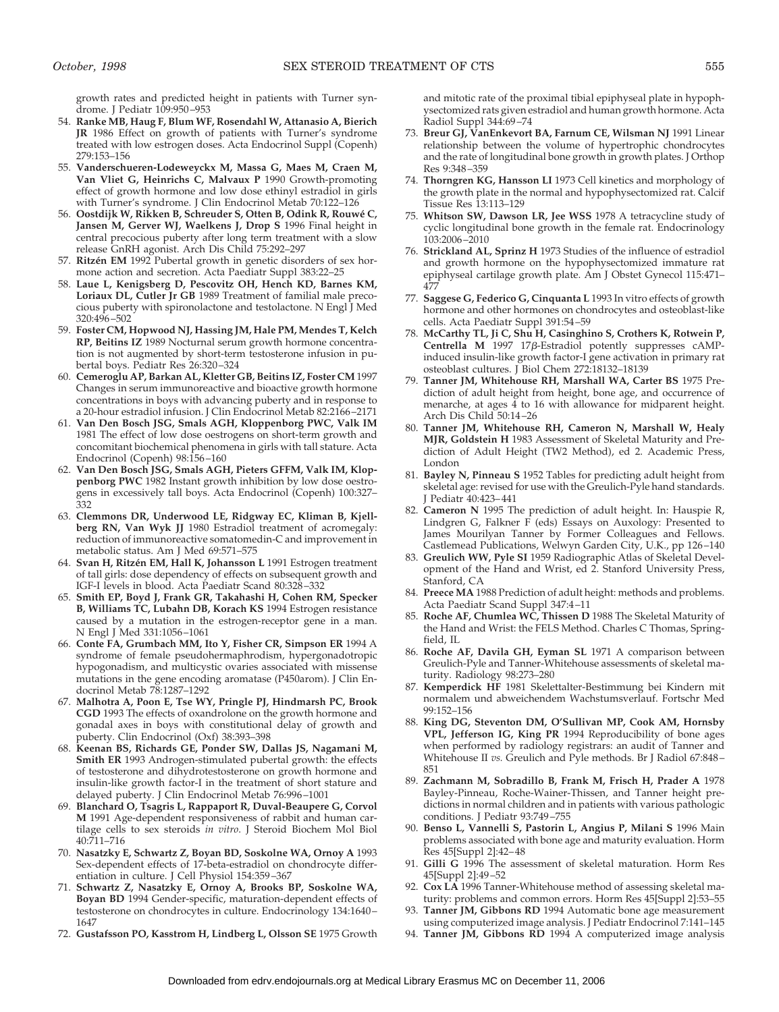growth rates and predicted height in patients with Turner syndrome. J Pediatr 109:950–953

- 54. **Ranke MB, Haug F, Blum WF, Rosendahl W, Attanasio A, Bierich JR** 1986 Effect on growth of patients with Turner's syndrome treated with low estrogen doses. Acta Endocrinol Suppl (Copenh) 279:153–156
- 55. **Vanderschueren-Lodeweyckx M, Massa G, Maes M, Craen M, Van Vliet G, Heinrichs C, Malvaux P** 1990 Growth-promoting effect of growth hormone and low dose ethinyl estradiol in girls with Turner's syndrome. J Clin Endocrinol Metab 70:122–126
- 56. **Oostdijk W, Rikken B, Schreuder S, Otten B, Odink R, Rouwe´ C, Jansen M, Gerver WJ, Waelkens J, Drop S** 1996 Final height in central precocious puberty after long term treatment with a slow release GnRH agonist. Arch Dis Child 75:292–297
- 57. Ritzén EM 1992 Pubertal growth in genetic disorders of sex hormone action and secretion. Acta Paediatr Suppl 383:22–25
- 58. **Laue L, Kenigsberg D, Pescovitz OH, Hench KD, Barnes KM, Loriaux DL, Cutler Jr GB** 1989 Treatment of familial male precocious puberty with spironolactone and testolactone. N Engl J Med 320:496–502
- 59. **Foster CM, Hopwood NJ, Hassing JM, Hale PM, Mendes T, Kelch RP, Beitins IZ** 1989 Nocturnal serum growth hormone concentration is not augmented by short-term testosterone infusion in pubertal boys. Pediatr Res 26:320–324
- 60. **Cemeroglu AP, Barkan AL, Kletter GB, Beitins IZ, Foster CM** 1997 Changes in serum immunoreactive and bioactive growth hormone concentrations in boys with advancing puberty and in response to a 20-hour estradiol infusion. J Clin Endocrinol Metab 82:2166–2171
- 61. **Van Den Bosch JSG, Smals AGH, Kloppenborg PWC, Valk IM** 1981 The effect of low dose oestrogens on short-term growth and concomitant biochemical phenomena in girls with tall stature. Acta Endocrinol (Copenh) 98:156–160
- 62. **Van Den Bosch JSG, Smals AGH, Pieters GFFM, Valk IM, Kloppenborg PWC** 1982 Instant growth inhibition by low dose oestrogens in excessively tall boys. Acta Endocrinol (Copenh) 100:327– 332
- 63. **Clemmons DR, Underwood LE, Ridgway EC, Kliman B, Kjellberg RN, Van Wyk JJ** 1980 Estradiol treatment of acromegaly: reduction of immunoreactive somatomedin-C and improvement in metabolic status. Am J Med 69:571–575
- 64. Svan H, Ritzén EM, Hall K, Johansson L 1991 Estrogen treatment of tall girls: dose dependency of effects on subsequent growth and IGF-I levels in blood. Acta Paediatr Scand 80:328–332
- 65. **Smith EP, Boyd J, Frank GR, Takahashi H, Cohen RM, Specker B, Williams TC, Lubahn DB, Korach KS** 1994 Estrogen resistance caused by a mutation in the estrogen-receptor gene in a man. N Engl J Med 331:1056–1061
- 66. **Conte FA, Grumbach MM, Ito Y, Fisher CR, Simpson ER** 1994 A syndrome of female pseudohermaphrodism, hypergonadotropic hypogonadism, and multicystic ovaries associated with missense mutations in the gene encoding aromatase (P450arom). J Clin Endocrinol Metab 78:1287–1292
- 67. **Malhotra A, Poon E, Tse WY, Pringle PJ, Hindmarsh PC, Brook CGD** 1993 The effects of oxandrolone on the growth hormone and gonadal axes in boys with constitutional delay of growth and puberty. Clin Endocrinol (Oxf) 38:393–398
- 68. **Keenan BS, Richards GE, Ponder SW, Dallas JS, Nagamani M, Smith ER** 1993 Androgen-stimulated pubertal growth: the effects of testosterone and dihydrotestosterone on growth hormone and insulin-like growth factor-I in the treatment of short stature and delayed puberty. J Clin Endocrinol Metab 76:996–1001
- 69. **Blanchard O, Tsagris L, Rappaport R, Duval-Beaupere G, Corvol M** 1991 Age-dependent responsiveness of rabbit and human cartilage cells to sex steroids *in vitro*. J Steroid Biochem Mol Biol 40:711–716
- 70. **Nasatzky E, Schwartz Z, Boyan BD, Soskolne WA, Ornoy A** 1993 Sex-dependent effects of 17-beta-estradiol on chondrocyte differentiation in culture. J Cell Physiol 154:359–367
- 71. **Schwartz Z, Nasatzky E, Ornoy A, Brooks BP, Soskolne WA, Boyan BD** 1994 Gender-specific, maturation-dependent effects of testosterone on chondrocytes in culture. Endocrinology 134:1640– 1647
- 72. **Gustafsson PO, Kasstrom H, Lindberg L, Olsson SE** 1975 Growth

and mitotic rate of the proximal tibial epiphyseal plate in hypophysectomized rats given estradiol and human growth hormone. Acta Radiol Suppl 344:69–74

- 73. **Breur GJ, VanEnkevort BA, Farnum CE, Wilsman NJ** 1991 Linear relationship between the volume of hypertrophic chondrocytes and the rate of longitudinal bone growth in growth plates. J Orthop Res 9:348–359
- 74. **Thorngren KG, Hansson LI** 1973 Cell kinetics and morphology of the growth plate in the normal and hypophysectomized rat. Calcif Tissue Res 13:113–129
- 75. **Whitson SW, Dawson LR, Jee WSS** 1978 A tetracycline study of cyclic longitudinal bone growth in the female rat. Endocrinology 103:2006–2010
- 76. **Strickland AL, Sprinz H** 1973 Studies of the influence of estradiol and growth hormone on the hypophysectomized immature rat epiphyseal cartilage growth plate. Am J Obstet Gynecol 115:471– 477
- 77. **Saggese G, Federico G, Cinquanta L** 1993 In vitro effects of growth hormone and other hormones on chondrocytes and osteoblast-like cells. Acta Paediatr Suppl 391:54–59
- 78. **McCarthy TL, Ji C, Shu H, Casinghino S, Crothers K, Rotwein P, Centrella M** 1997 17β-Estradiol potently suppresses cAMPinduced insulin-like growth factor-I gene activation in primary rat osteoblast cultures. J Biol Chem 272:18132–18139
- 79. **Tanner JM, Whitehouse RH, Marshall WA, Carter BS** 1975 Prediction of adult height from height, bone age, and occurrence of menarche, at ages  $\overline{4}$  to 16 with allowance for midparent height. Arch Dis Child 50:14–26
- 80. **Tanner JM, Whitehouse RH, Cameron N, Marshall W, Healy MJR, Goldstein H** 1983 Assessment of Skeletal Maturity and Prediction of Adult Height (TW2 Method), ed 2. Academic Press, London
- 81. **Bayley N, Pinneau S** 1952 Tables for predicting adult height from skeletal age: revised for use with the Greulich-Pyle hand standards. J Pediatr 40:423–441
- 82. **Cameron N** 1995 The prediction of adult height. In: Hauspie R, Lindgren G, Falkner F (eds) Essays on Auxology: Presented to James Mourilyan Tanner by Former Colleagues and Fellows. Castlemead Publications, Welwyn Garden City, U.K., pp 126–140
- 83. **Greulich WW, Pyle SI** 1959 Radiographic Atlas of Skeletal Development of the Hand and Wrist, ed 2. Stanford University Press, Stanford, CA
- 84. **Preece MA** 1988 Prediction of adult height: methods and problems. Acta Paediatr Scand Suppl 347:4–11
- 85. **Roche AF, Chumlea WC, Thissen D** 1988 The Skeletal Maturity of the Hand and Wrist: the FELS Method. Charles C Thomas, Springfield, IL
- 86. **Roche AF, Davila GH, Eyman SL** 1971 A comparison between Greulich-Pyle and Tanner-Whitehouse assessments of skeletal maturity. Radiology 98:273–280
- 87. **Kemperdick HF** 1981 Skelettalter-Bestimmung bei Kindern mit normalem und abweichendem Wachstumsverlauf. Fortschr Med 99:152–156
- 88. **King DG, Steventon DM, O'Sullivan MP, Cook AM, Hornsby VPL, Jefferson IG, King PR** 1994 Reproducibility of bone ages when performed by radiology registrars: an audit of Tanner and Whitehouse II *vs.* Greulich and Pyle methods. Br J Radiol 67:848– 851
- 89. **Zachmann M, Sobradillo B, Frank M, Frisch H, Prader A** 1978 Bayley-Pinneau, Roche-Wainer-Thissen, and Tanner height predictions in normal children and in patients with various pathologic conditions. J Pediatr 93:749–755
- 90. **Benso L, Vannelli S, Pastorin L, Angius P, Milani S** 1996 Main problems associated with bone age and maturity evaluation. Horm Res 45[Suppl 2]:42–48
- 91. **Gilli G** 1996 The assessment of skeletal maturation. Horm Res 45[Suppl 2]:49–52
- 92. **Cox LA** 1996 Tanner-Whitehouse method of assessing skeletal maturity: problems and common errors. Horm Res 45[Suppl 2]:53–55
- 93. **Tanner JM, Gibbons RD** 1994 Automatic bone age measurement using computerized image analysis. J Pediatr Endocrinol 7:141–145
- 94. **Tanner JM, Gibbons RD** 1994 A computerized image analysis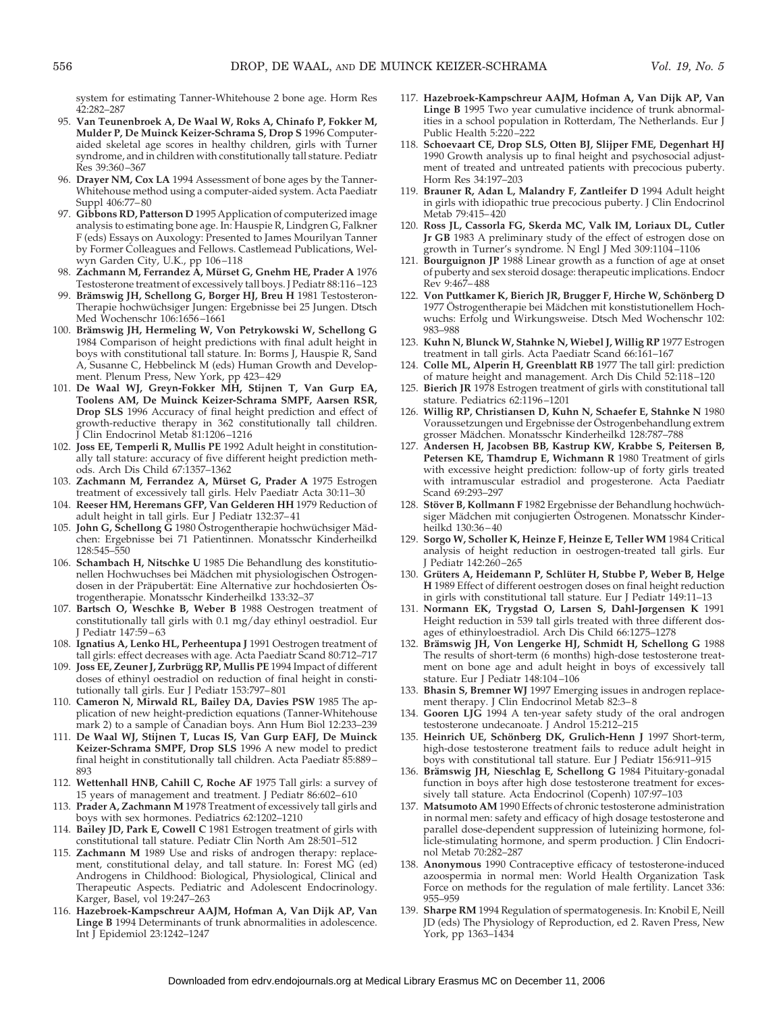system for estimating Tanner-Whitehouse 2 bone age. Horm Res 42:282–287

- 95. **Van Teunenbroek A, De Waal W, Roks A, Chinafo P, Fokker M, Mulder P, De Muinck Keizer-Schrama S, Drop S** 1996 Computeraided skeletal age scores in healthy children, girls with Turner syndrome, and in children with constitutionally tall stature. Pediatr Res 39:360–367
- 96. **Drayer NM, Cox LA** 1994 Assessment of bone ages by the Tanner-Whitehouse method using a computer-aided system. Acta Paediatr Suppl 406:77–80
- 97. **Gibbons RD, Patterson D** 1995 Application of computerized image analysis to estimating bone age. In: Hauspie R, Lindgren G, Falkner F (eds) Essays on Auxology: Presented to James Mourilyan Tanner by Former Colleagues and Fellows. Castlemead Publications, Welwyn Garden City, U.K., pp 106–118
- 98. **Zachmann M, Ferrandez A, Mu¨ rset G, Gnehm HE, Prader A** 1976 Testosterone treatment of excessively tall boys. J Pediatr 88:116–123
- 99. Brämswig JH, Schellong G, Borger HJ, Breu H 1981 Testosteron-Therapie hochwüchsiger Jungen: Ergebnisse bei 25 Jungen. Dtsch Med Wochenschr 106:1656–1661
- 100. **Bra¨mswig JH, Hermeling W, Von Petrykowski W, Schellong G** 1984 Comparison of height predictions with final adult height in boys with constitutional tall stature. In: Borms J, Hauspie R, Sand A, Susanne C, Hebbelinck M (eds) Human Growth and Development. Plenum Press, New York, pp 423–429
- 101. **De Waal WJ, Greyn-Fokker MH, Stijnen T, Van Gurp EA, Toolens AM, De Muinck Keizer-Schrama SMPF, Aarsen RSR, Drop SLS** 1996 Accuracy of final height prediction and effect of growth-reductive therapy in 362 constitutionally tall children. Clin Endocrinol Metab 81:1206-1216
- 102. **Joss EE, Temperli R, Mullis PE** 1992 Adult height in constitutionally tall stature: accuracy of five different height prediction methods. Arch Dis Child 67:1357–1362
- 103. Zachmann M, Ferrandez A, Mürset G, Prader A 1975 Estrogen treatment of excessively tall girls. Helv Paediatr Acta  $30:11-30$
- 104. **Reeser HM, Heremans GFP, Van Gelderen HH** 1979 Reduction of adult height in tall girls. Eur J Pediatr 132:37–41
- 105. **John G, Schellong G** 1980 Östrogentherapie hochwüchsiger Mädchen: Ergebnisse bei 71 Patientinnen. Monatsschr Kinderheilkd 128:545–550
- 106. **Schambach H, Nitschke U** 1985 Die Behandlung des konstitutionellen Hochwuchses bei Mädchen mit physiologischen Östrogendosen in der Präpubertät: Eine Alternative zur hochdosierten Östrogentherapie. Monatsschr Kinderheilkd 133:32–37
- 107. **Bartsch O, Weschke B, Weber B** 1988 Oestrogen treatment of constitutionally tall girls with 0.1 mg/day ethinyl oestradiol. Eur J Pediatr 147:59–63
- 108. **Ignatius A, Lenko HL, Perheentupa J** 1991 Oestrogen treatment of tall girls: effect decreases with age. Acta Paediatr Scand 80:712–717
- 109. **Joss EE, Zeuner J, Zurbrügg RP, Mullis PE** 1994 Impact of different doses of ethinyl oestradiol on reduction of final height in constitutionally tall girls. Eur J Pediatr 153:797–801
- 110. **Cameron N, Mirwald RL, Bailey DA, Davies PSW** 1985 The application of new height-prediction equations (Tanner-Whitehouse mark 2) to a sample of Canadian boys. Ann Hum Biol 12:233–239
- 111. **De Waal WJ, Stijnen T, Lucas IS, Van Gurp EAFJ, De Muinck Keizer-Schrama SMPF, Drop SLS** 1996 A new model to predict final height in constitutionally tall children. Acta Paediatr 85:889– 893
- 112. **Wettenhall HNB, Cahill C, Roche AF** 1975 Tall girls: a survey of 15 years of management and treatment. J Pediatr 86:602–610
- 113. **Prader A, Zachmann M** 1978 Treatment of excessively tall girls and boys with sex hormones. Pediatrics 62:1202–1210
- 114. **Bailey JD, Park E, Cowell C** 1981 Estrogen treatment of girls with constitutional tall stature. Pediatr Clin North Am 28:501–512
- 115. **Zachmann M** 1989 Use and risks of androgen therapy: replacement, constitutional delay, and tall stature. In: Forest MG (ed) Androgens in Childhood: Biological, Physiological, Clinical and Therapeutic Aspects. Pediatric and Adolescent Endocrinology. Karger, Basel, vol 19:247–263
- 116. **Hazebroek-Kampschreur AAJM, Hofman A, Van Dijk AP, Van Linge B** 1994 Determinants of trunk abnormalities in adolescence. Int J Epidemiol 23:1242–1247
- 117. **Hazebroek-Kampschreur AAJM, Hofman A, Van Dijk AP, Van Linge B** 1995 Two year cumulative incidence of trunk abnormalities in a school population in Rotterdam, The Netherlands. Eur J Public Health 5:220-222
- 118. **Schoevaart CE, Drop SLS, Otten BJ, Slijper FME, Degenhart HJ** 1990 Growth analysis up to final height and psychosocial adjustment of treated and untreated patients with precocious puberty. Horm Res 34:197–203
- 119. **Brauner R, Adan L, Malandry F, Zantleifer D** 1994 Adult height in girls with idiopathic true precocious puberty. J Clin Endocrinol Metab 79:415–420
- 120. **Ross JL, Cassorla FG, Skerda MC, Valk IM, Loriaux DL, Cutler Jr GB** 1983 A preliminary study of the effect of estrogen dose on growth in Turner's syndrome. N Engl J Med 309:1104–1106
- 121. **Bourguignon JP** 1988 Linear growth as a function of age at onset of puberty and sex steroid dosage: therapeutic implications. Endocr Rev 9:467–488
- 122. Von Puttkamer K, Bierich JR, Brugger F, Hirche W, Schönberg D 1977 Ostrogentherapie bei Mädchen mit konstistutionellem Hochwuchs: Erfolg und Wirkungsweise. Dtsch Med Wochenschr 102: 983–988
- 123. **Kuhn N, Blunck W, Stahnke N, Wiebel J, Willig RP** 1977 Estrogen treatment in tall girls. Acta Paediatr Scand 66:161–167
- 124. **Colle ML, Alperin H, Greenblatt RB** 1977 The tall girl: prediction of mature height and management. Arch Dis Child 52:118–120
- 125. **Bierich JR** 1978 Estrogen treatment of girls with constitutional tall stature. Pediatrics 62:1196–1201
- 126. **Willig RP, Christiansen D, Kuhn N, Schaefer E, Stahnke N** 1980 Voraussetzungen und Ergebnisse der Östrogenbehandlung extrem grosser Mädchen. Monatsschr Kinderheilkd 128:787-788
- 127. **Andersen H, Jacobsen BB, Kastrup KW, Krabbe S, Peitersen B, Petersen KE, Thamdrup E, Wichmann R** 1980 Treatment of girls with excessive height prediction: follow-up of forty girls treated with intramuscular estradiol and progesterone. Acta Paediatr Scand 69:293–297
- 128. Stöver B, Kollmann F 1982 Ergebnisse der Behandlung hochwüchsiger Mädchen mit conjugierten Östrogenen. Monatsschr Kinderheilkd 130:36–40
- 129. **Sorgo W, Scholler K, Heinze F, Heinze E, Teller WM** 1984 Critical analysis of height reduction in oestrogen-treated tall girls. Eur J Pediatr 142:260–265
- 130. Grüters A, Heidemann P, Schlüter H, Stubbe P, Weber B, Helge **H** 1989 Effect of different oestrogen doses on final height reduction in girls with constitutional tall stature. Eur J Pediatr 149:11–13
- 131. **Normann EK, Trygstad O, Larsen S, Dahl-Jørgensen K** 1991 Height reduction in 539 tall girls treated with three different dosages of ethinyloestradiol. Arch Dis Child 66:1275–1278
- 132. Brämswig JH, Von Lengerke HJ, Schmidt H, Schellong G 1988 The results of short-term (6 months) high-dose testosterone treatment on bone age and adult height in boys of excessively tall stature. Eur J Pediatr 148:104–106
- 133. **Bhasin S, Bremner WJ** 1997 Emerging issues in androgen replacement therapy. J Clin Endocrinol Metab 82:3–8
- 134. **Gooren LJG** 1994 A ten-year safety study of the oral androgen testosterone undecanoate. J Androl 15:212–215
- 135. Heinrich UE, Schönberg DK, Grulich-Henn J 1997 Short-term, high-dose testosterone treatment fails to reduce adult height in boys with constitutional tall stature. Eur J Pediatr 156:911–915
- 136. Brämswig JH, Nieschlag E, Schellong G 1984 Pituitary-gonadal function in boys after high dose testosterone treatment for excessively tall stature. Acta Endocrinol (Copenh) 107:97–103
- 137. **Matsumoto AM** 1990 Effects of chronic testosterone administration in normal men: safety and efficacy of high dosage testosterone and parallel dose-dependent suppression of luteinizing hormone, follicle-stimulating hormone, and sperm production. J Clin Endocrinol Metab 70:282–287
- 138. **Anonymous** 1990 Contraceptive efficacy of testosterone-induced azoospermia in normal men: World Health Organization Task Force on methods for the regulation of male fertility. Lancet 336: 955–959
- 139. **Sharpe RM** 1994 Regulation of spermatogenesis. In: Knobil E, Neill JD (eds) The Physiology of Reproduction, ed 2. Raven Press, New York, pp 1363–1434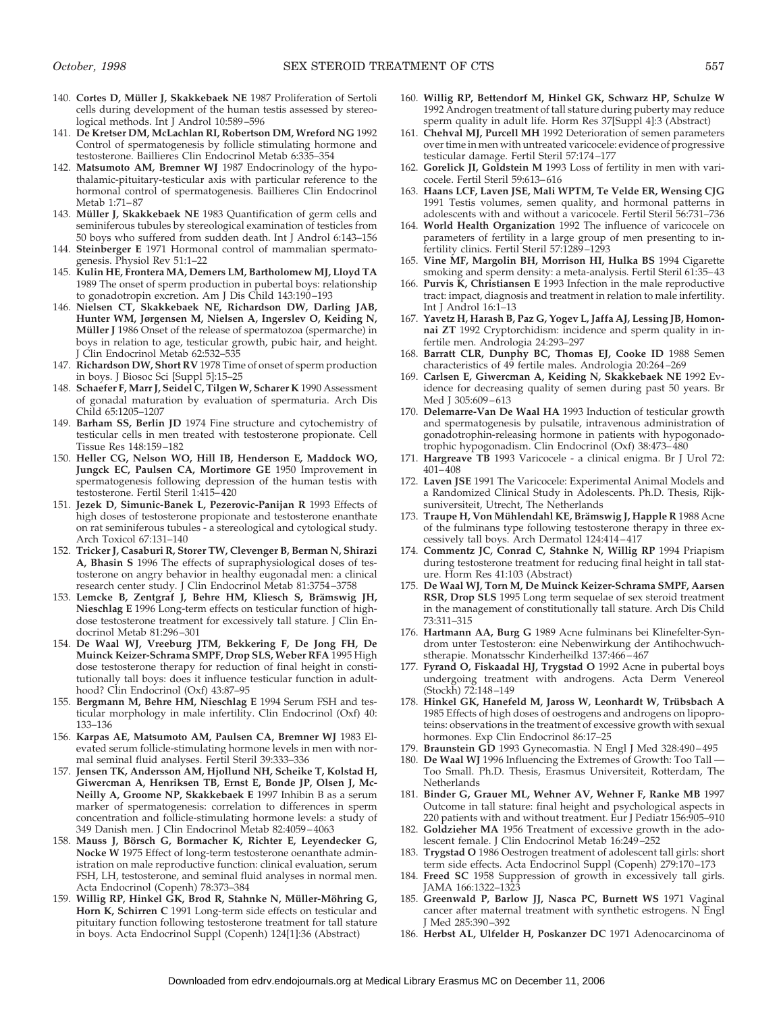- 140. Cortes D, Müller J, Skakkebaek NE 1987 Proliferation of Sertoli cells during development of the human testis assessed by stereological methods. Int J Androl 10:589–596
- 141. **De Kretser DM, McLachlan RI, Robertson DM, Wreford NG** 1992 Control of spermatogenesis by follicle stimulating hormone and testosterone. Baillieres Clin Endocrinol Metab 6:335–354
- 142. **Matsumoto AM, Bremner WJ** 1987 Endocrinology of the hypothalamic-pituitary-testicular axis with particular reference to the hormonal control of spermatogenesis. Baillieres Clin Endocrinol Metab 1:71–87
- 143. Müller J, Skakkebaek NE 1983 Quantification of germ cells and seminiferous tubules by stereological examination of testicles from 50 boys who suffered from sudden death. Int J Androl 6:143–156
- 144. **Steinberger E** 1971 Hormonal control of mammalian spermatogenesis. Physiol Rev 51:1–22
- 145. **Kulin HE, Frontera MA, Demers LM, Bartholomew MJ, Lloyd TA** 1989 The onset of sperm production in pubertal boys: relationship to gonadotropin excretion. Am J Dis Child 143:190–193
- 146. **Nielsen CT, Skakkebaek NE, Richardson DW, Darling JAB, Hunter WM, Jørgensen M, Nielsen A, Ingerslev O, Keiding N, Müller J** 1986 Onset of the release of spermatozoa (spermarche) in boys in relation to age, testicular growth, pubic hair, and height. Clin Endocrinol Metab 62:532-535
- 147. **Richardson DW, Short RV** 1978 Time of onset of sperm production in boys. J Biosoc Sci [Suppl 5]:15–25
- 148. **Schaefer F, Marr J, Seidel C, Tilgen W, Scharer K** 1990 Assessment of gonadal maturation by evaluation of spermaturia. Arch Dis Child 65:1205–1207
- 149. **Barham SS, Berlin JD** 1974 Fine structure and cytochemistry of testicular cells in men treated with testosterone propionate. Cell Tissue Res 148:159–182
- 150. **Heller CG, Nelson WO, Hill IB, Henderson E, Maddock WO, Jungck EC, Paulsen CA, Mortimore GE** 1950 Improvement in spermatogenesis following depression of the human testis with testosterone. Fertil Steril 1:415–420
- 151. **Jezek D, Simunic-Banek L, Pezerovic-Panijan R** 1993 Effects of high doses of testosterone propionate and testosterone enanthate on rat seminiferous tubules - a stereological and cytological study. Arch Toxicol 67:131–140
- 152. **Tricker J, Casaburi R, Storer TW, Clevenger B, Berman N, Shirazi A, Bhasin S** 1996 The effects of supraphysiological doses of testosterone on angry behavior in healthy eugonadal men: a clinical research center study. J Clin Endocrinol Metab 81:3754–3758
- 153. Lemcke B, Zentgraf J, Behre HM, Kliesch S, Brämswig JH, **Nieschlag E** 1996 Long-term effects on testicular function of highdose testosterone treatment for excessively tall stature. J Clin Endocrinol Metab 81:296–301
- 154. **De Waal WJ, Vreeburg JTM, Bekkering F, De Jong FH, De Muinck Keizer-Schrama SMPF, Drop SLS, Weber RFA** 1995 High dose testosterone therapy for reduction of final height in constitutionally tall boys: does it influence testicular function in adulthood? Clin Endocrinol (Oxf) 43:87–95
- 155. **Bergmann M, Behre HM, Nieschlag E** 1994 Serum FSH and testicular morphology in male infertility. Clin Endocrinol (Oxf) 40: 133–136
- 156. **Karpas AE, Matsumoto AM, Paulsen CA, Bremner WJ** 1983 Elevated serum follicle-stimulating hormone levels in men with normal seminal fluid analyses. Fertil Steril 39:333–336
- 157. **Jensen TK, Andersson AM, Hjollund NH, Scheike T, Kolstad H, Giwercman A, Henriksen TB, Ernst E, Bonde JP, Olsen J, Mc-Neilly A, Groome NP, Skakkebaek E** 1997 Inhibin B as a serum marker of spermatogenesis: correlation to differences in sperm concentration and follicle-stimulating hormone levels: a study of 349 Danish men. J Clin Endocrinol Metab 82:4059–4063
- 158. **Mauss J, Bo¨rsch G, Bormacher K, Richter E, Leyendecker G, Nocke W** 1975 Effect of long-term testosterone oenanthate administration on male reproductive function: clinical evaluation, serum FSH, LH, testosterone, and seminal fluid analyses in normal men. Acta Endocrinol (Copenh) 78:373–384
- 159. Willig RP, Hinkel GK, Brod R, Stahnke N, Müller-Möhring G, **Horn K, Schirren C** 1991 Long-term side effects on testicular and pituitary function following testosterone treatment for tall stature in boys. Acta Endocrinol Suppl (Copenh) 124[1]:36 (Abstract)
- 160. **Willig RP, Bettendorf M, Hinkel GK, Schwarz HP, Schulze W** 1992 Androgen treatment of tall stature during puberty may reduce sperm quality in adult life. Horm Res 37[Suppl 4]:3 (Abstract)
- 161. **Chehval MJ, Purcell MH** 1992 Deterioration of semen parameters over time in men with untreated varicocele: evidence of progressive testicular damage. Fertil Steril 57:174–177
- 162. **Gorelick JI, Goldstein M** 1993 Loss of fertility in men with varicocele. Fertil Steril 59:613–616
- 163. **Haans LCF, Laven JSE, Mali WPTM, Te Velde ER, Wensing CJG** 1991 Testis volumes, semen quality, and hormonal patterns in adolescents with and without a varicocele. Fertil Steril 56:731–736
- 164. **World Health Organization** 1992 The influence of varicocele on parameters of fertility in a large group of men presenting to infertility clinics. Fertil Steril 57:1289–1293
- 165. **Vine MF, Margolin BH, Morrison HI, Hulka BS** 1994 Cigarette smoking and sperm density: a meta-analysis. Fertil Steril 61:35–43
- 166. **Purvis K, Christiansen E** 1993 Infection in the male reproductive tract: impact, diagnosis and treatment in relation to male infertility. Int J Androl 16:1–13
- 167. **Yavetz H, Harash B, Paz G, Yogev L, Jaffa AJ, Lessing JB, Homonnai ZT** 1992 Cryptorchidism: incidence and sperm quality in infertile men. Andrologia 24:293–297
- 168. **Barratt CLR, Dunphy BC, Thomas EJ, Cooke ID** 1988 Semen characteristics of 49 fertile males. Andrologia 20:264–269
- 169. **Carlsen E, Giwercman A, Keiding N, Skakkebaek NE** 1992 Evidence for decreasing quality of semen during past 50 years. Br Med J 305:609–613
- 170. **Delemarre-Van De Waal HA** 1993 Induction of testicular growth and spermatogenesis by pulsatile, intravenous administration of gonadotrophin-releasing hormone in patients with hypogonadotrophic hypogonadism. Clin Endocrinol (Oxf) 38:473–480
- 171. **Hargreave TB** 1993 Varicocele a clinical enigma. Br J Urol 72: 401–408
- 172. **Laven JSE** 1991 The Varicocele: Experimental Animal Models and a Randomized Clinical Study in Adolescents. Ph.D. Thesis, Rijksuniversiteit, Utrecht, The Netherlands
- 173. Traupe H, Von Mühlendahl KE, Brämswig J, Happle R 1988 Acne of the fulminans type following testosterone therapy in three excessively tall boys. Arch Dermatol 124:414–417
- 174. **Commentz JC, Conrad C, Stahnke N, Willig RP** 1994 Priapism during testosterone treatment for reducing final height in tall stature. Horm Res 41:103 (Abstract)
- 175. **De Waal WJ, Torn M, De Muinck Keizer-Schrama SMPF, Aarsen RSR, Drop SLS** 1995 Long term sequelae of sex steroid treatment in the management of constitutionally tall stature. Arch Dis Child 73:311–315
- 176. **Hartmann AA, Burg G** 1989 Acne fulminans bei Klinefelter-Syndrom unter Testosteron: eine Nebenwirkung der Antihochwuchstherapie. Monatsschr Kinderheilkd 137:466–467
- 177. **Fyrand O, Fiskaadal HJ, Trygstad O** 1992 Acne in pubertal boys undergoing treatment with androgens. Acta Derm Venereol (Stockh) 72:148–149
- 178. Hinkel GK, Hanefeld M, Jaross W, Leonhardt W, Trübsbach A 1985 Effects of high doses of oestrogens and androgens on lipoproteins: observations in the treatment of excessive growth with sexual hormones. Exp Clin Endocrinol 86:17–25
- 179. **Braunstein GD** 1993 Gynecomastia. N Engl J Med 328:490–495
- 180. **De Waal WJ** 1996 Influencing the Extremes of Growth: Too Tall Too Small. Ph.D. Thesis, Erasmus Universiteit, Rotterdam, The **Netherlands**
- 181. **Binder G, Grauer ML, Wehner AV, Wehner F, Ranke MB** 1997 Outcome in tall stature: final height and psychological aspects in 220 patients with and without treatment. Eur J Pediatr 156:905–910
- 182. **Goldzieher MA** 1956 Treatment of excessive growth in the adolescent female. J Clin Endocrinol Metab 16:249–252
- 183. **Trygstad O** 1986 Oestrogen treatment of adolescent tall girls: short term side effects. Acta Endocrinol Suppl (Copenh) 279:170–173
- 184. **Freed SC** 1958 Suppression of growth in excessively tall girls. JAMA 166:1322–1323
- 185. **Greenwald P, Barlow JJ, Nasca PC, Burnett WS** 1971 Vaginal cancer after maternal treatment with synthetic estrogens. N Engl J Med 285:390–392
- 186. **Herbst AL, Ulfelder H, Poskanzer DC** 1971 Adenocarcinoma of